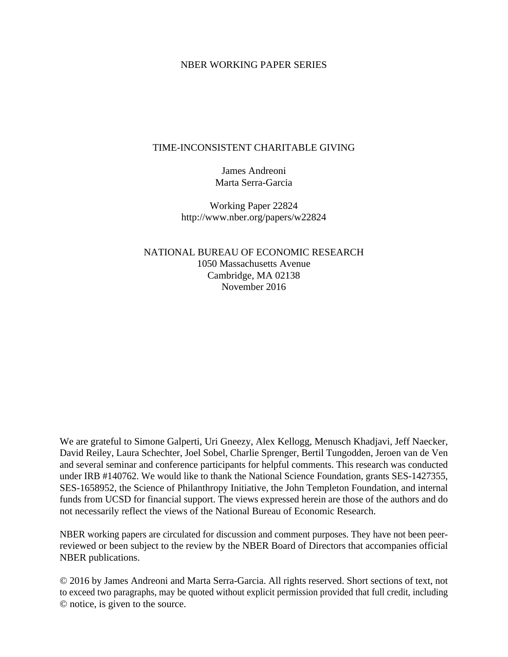### NBER WORKING PAPER SERIES

### TIME-INCONSISTENT CHARITABLE GIVING

James Andreoni Marta Serra-Garcia

Working Paper 22824 http://www.nber.org/papers/w22824

NATIONAL BUREAU OF ECONOMIC RESEARCH 1050 Massachusetts Avenue Cambridge, MA 02138 November 2016

We are grateful to Simone Galperti, Uri Gneezy, Alex Kellogg, Menusch Khadjavi, Jeff Naecker, David Reiley, Laura Schechter, Joel Sobel, Charlie Sprenger, Bertil Tungodden, Jeroen van de Ven and several seminar and conference participants for helpful comments. This research was conducted under IRB #140762. We would like to thank the National Science Foundation, grants SES-1427355, SES-1658952, the Science of Philanthropy Initiative, the John Templeton Foundation, and internal funds from UCSD for financial support. The views expressed herein are those of the authors and do not necessarily reflect the views of the National Bureau of Economic Research.

NBER working papers are circulated for discussion and comment purposes. They have not been peerreviewed or been subject to the review by the NBER Board of Directors that accompanies official NBER publications.

© 2016 by James Andreoni and Marta Serra-Garcia. All rights reserved. Short sections of text, not to exceed two paragraphs, may be quoted without explicit permission provided that full credit, including © notice, is given to the source.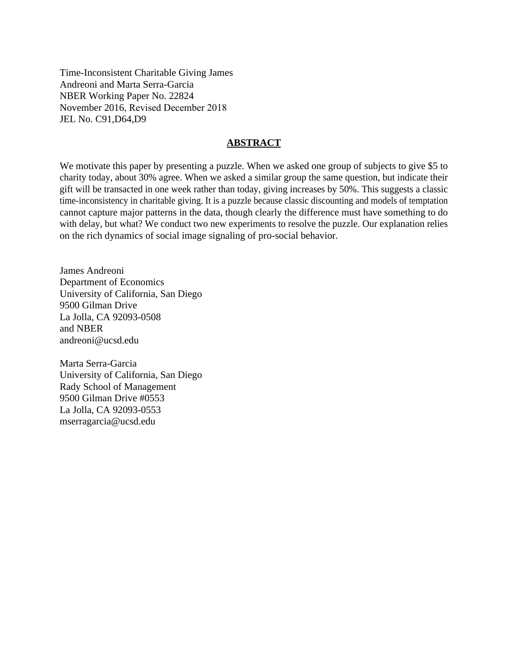Time-Inconsistent Charitable Giving James Andreoni and Marta Serra-Garcia NBER Working Paper No. 22824 November 2016, Revised December 2018 JEL No. C91,D64,D9

### **ABSTRACT**

We motivate this paper by presenting a puzzle. When we asked one group of subjects to give \$5 to charity today, about 30% agree. When we asked a similar group the same question, but indicate their gift will be transacted in one week rather than today, giving increases by 50%. This suggests a classic time-inconsistency in charitable giving. It is a puzzle because classic discounting and models of temptation cannot capture major patterns in the data, though clearly the difference must have something to do with delay, but what? We conduct two new experiments to resolve the puzzle. Our explanation relies on the rich dynamics of social image signaling of pro-social behavior.

James Andreoni Department of Economics University of California, San Diego 9500 Gilman Drive La Jolla, CA 92093-0508 and NBER andreoni@ucsd.edu

Marta Serra-Garcia University of California, San Diego Rady School of Management 9500 Gilman Drive #0553 La Jolla, CA 92093-0553 mserragarcia@ucsd.edu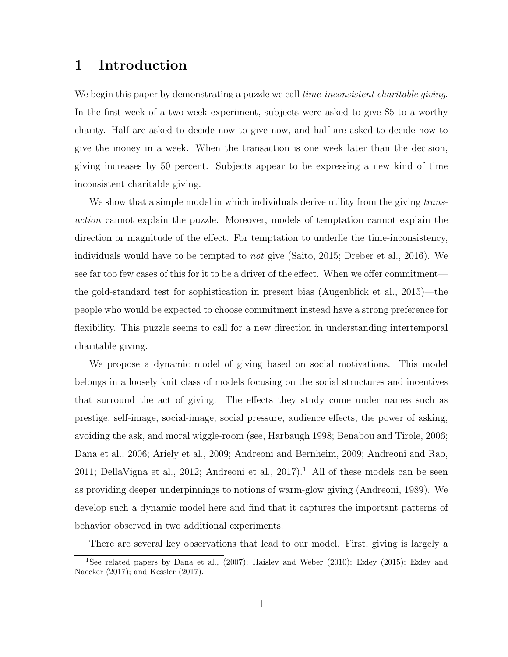## 1 Introduction

We begin this paper by demonstrating a puzzle we call *time-inconsistent charitable giving*. In the first week of a two-week experiment, subjects were asked to give \$5 to a worthy charity. Half are asked to decide now to give now, and half are asked to decide now to give the money in a week. When the transaction is one week later than the decision, giving increases by 50 percent. Subjects appear to be expressing a new kind of time inconsistent charitable giving.

We show that a simple model in which individuals derive utility from the giving transaction cannot explain the puzzle. Moreover, models of temptation cannot explain the direction or magnitude of the effect. For temptation to underlie the time-inconsistency, individuals would have to be tempted to not give (Saito, 2015; Dreber et al., 2016). We see far too few cases of this for it to be a driver of the effect. When we offer commitment the gold-standard test for sophistication in present bias (Augenblick et al., 2015)—the people who would be expected to choose commitment instead have a strong preference for flexibility. This puzzle seems to call for a new direction in understanding intertemporal charitable giving.

We propose a dynamic model of giving based on social motivations. This model belongs in a loosely knit class of models focusing on the social structures and incentives that surround the act of giving. The effects they study come under names such as prestige, self-image, social-image, social pressure, audience effects, the power of asking, avoiding the ask, and moral wiggle-room (see, Harbaugh 1998; Benabou and Tirole, 2006; Dana et al., 2006; Ariely et al., 2009; Andreoni and Bernheim, 2009; Andreoni and Rao, 2011; DellaVigna et al., 2012; Andreoni et al., 2017).<sup>1</sup> All of these models can be seen as providing deeper underpinnings to notions of warm-glow giving (Andreoni, 1989). We develop such a dynamic model here and find that it captures the important patterns of behavior observed in two additional experiments.

There are several key observations that lead to our model. First, giving is largely a

<sup>1</sup>See related papers by Dana et al., (2007); Haisley and Weber (2010); Exley (2015); Exley and Naecker (2017); and Kessler (2017).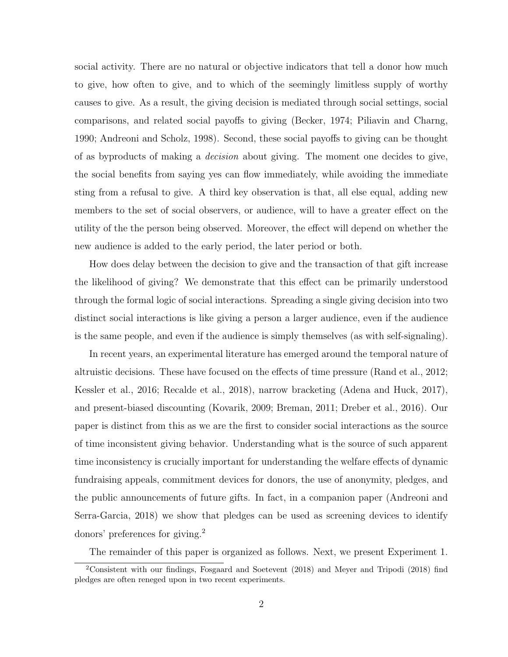social activity. There are no natural or objective indicators that tell a donor how much to give, how often to give, and to which of the seemingly limitless supply of worthy causes to give. As a result, the giving decision is mediated through social settings, social comparisons, and related social payoffs to giving (Becker, 1974; Piliavin and Charng, 1990; Andreoni and Scholz, 1998). Second, these social payoffs to giving can be thought of as byproducts of making a decision about giving. The moment one decides to give, the social benefits from saying yes can flow immediately, while avoiding the immediate sting from a refusal to give. A third key observation is that, all else equal, adding new members to the set of social observers, or audience, will to have a greater effect on the utility of the the person being observed. Moreover, the effect will depend on whether the new audience is added to the early period, the later period or both.

How does delay between the decision to give and the transaction of that gift increase the likelihood of giving? We demonstrate that this effect can be primarily understood through the formal logic of social interactions. Spreading a single giving decision into two distinct social interactions is like giving a person a larger audience, even if the audience is the same people, and even if the audience is simply themselves (as with self-signaling).

In recent years, an experimental literature has emerged around the temporal nature of altruistic decisions. These have focused on the effects of time pressure (Rand et al., 2012; Kessler et al., 2016; Recalde et al., 2018), narrow bracketing (Adena and Huck, 2017), and present-biased discounting (Kovarik, 2009; Breman, 2011; Dreber et al., 2016). Our paper is distinct from this as we are the first to consider social interactions as the source of time inconsistent giving behavior. Understanding what is the source of such apparent time inconsistency is crucially important for understanding the welfare effects of dynamic fundraising appeals, commitment devices for donors, the use of anonymity, pledges, and the public announcements of future gifts. In fact, in a companion paper (Andreoni and Serra-Garcia, 2018) we show that pledges can be used as screening devices to identify donors' preferences for giving.<sup>2</sup>

The remainder of this paper is organized as follows. Next, we present Experiment 1.

 $2\overline{\text{Consistent}}$  with our findings, Fosgaard and Soetevent (2018) and Meyer and Tripodi (2018) find pledges are often reneged upon in two recent experiments.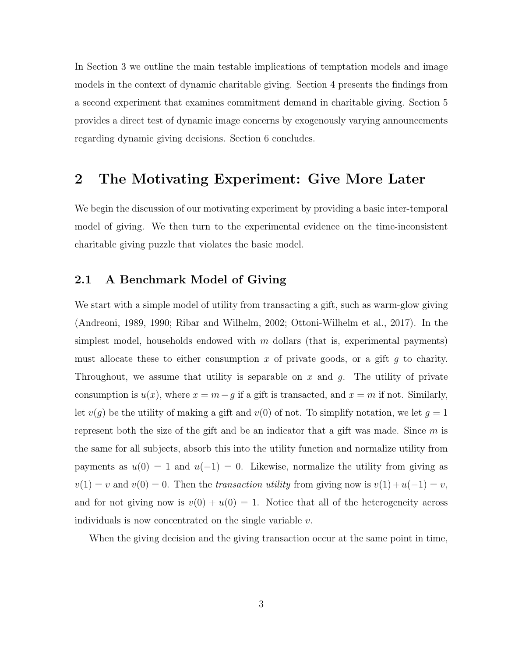In Section 3 we outline the main testable implications of temptation models and image models in the context of dynamic charitable giving. Section 4 presents the findings from a second experiment that examines commitment demand in charitable giving. Section 5 provides a direct test of dynamic image concerns by exogenously varying announcements regarding dynamic giving decisions. Section 6 concludes.

## 2 The Motivating Experiment: Give More Later

We begin the discussion of our motivating experiment by providing a basic inter-temporal model of giving. We then turn to the experimental evidence on the time-inconsistent charitable giving puzzle that violates the basic model.

## 2.1 A Benchmark Model of Giving

We start with a simple model of utility from transacting a gift, such as warm-glow giving (Andreoni, 1989, 1990; Ribar and Wilhelm, 2002; Ottoni-Wilhelm et al., 2017). In the simplest model, households endowed with  $m$  dollars (that is, experimental payments) must allocate these to either consumption x of private goods, or a gift  $g$  to charity. Throughout, we assume that utility is separable on x and  $g$ . The utility of private consumption is  $u(x)$ , where  $x = m - g$  if a gift is transacted, and  $x = m$  if not. Similarly, let  $v(g)$  be the utility of making a gift and  $v(0)$  of not. To simplify notation, we let  $g = 1$ represent both the size of the gift and be an indicator that a gift was made. Since  $m$  is the same for all subjects, absorb this into the utility function and normalize utility from payments as  $u(0) = 1$  and  $u(-1) = 0$ . Likewise, normalize the utility from giving as  $v(1) = v$  and  $v(0) = 0$ . Then the transaction utility from giving now is  $v(1) + u(-1) = v$ , and for not giving now is  $v(0) + u(0) = 1$ . Notice that all of the heterogeneity across individuals is now concentrated on the single variable  $v$ .

When the giving decision and the giving transaction occur at the same point in time,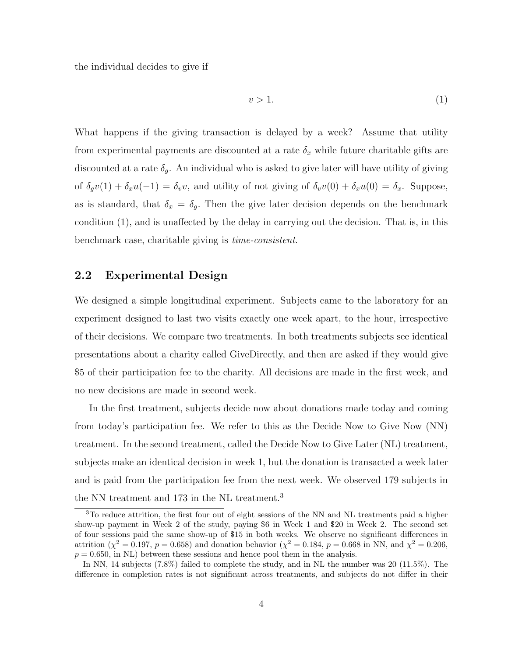the individual decides to give if

$$
v > 1. \tag{1}
$$

What happens if the giving transaction is delayed by a week? Assume that utility from experimental payments are discounted at a rate  $\delta_x$  while future charitable gifts are discounted at a rate  $\delta_g$ . An individual who is asked to give later will have utility of giving of  $\delta_g v(1) + \delta_x u(-1) = \delta_v v$ , and utility of not giving of  $\delta_v v(0) + \delta_x u(0) = \delta_x$ . Suppose, as is standard, that  $\delta_x = \delta_g$ . Then the give later decision depends on the benchmark condition (1), and is unaffected by the delay in carrying out the decision. That is, in this benchmark case, charitable giving is time-consistent.

## 2.2 Experimental Design

We designed a simple longitudinal experiment. Subjects came to the laboratory for an experiment designed to last two visits exactly one week apart, to the hour, irrespective of their decisions. We compare two treatments. In both treatments subjects see identical presentations about a charity called GiveDirectly, and then are asked if they would give \$5 of their participation fee to the charity. All decisions are made in the first week, and no new decisions are made in second week.

In the first treatment, subjects decide now about donations made today and coming from today's participation fee. We refer to this as the Decide Now to Give Now (NN) treatment. In the second treatment, called the Decide Now to Give Later (NL) treatment, subjects make an identical decision in week 1, but the donation is transacted a week later and is paid from the participation fee from the next week. We observed 179 subjects in the NN treatment and 173 in the NL treatment.<sup>3</sup>

<sup>3</sup>To reduce attrition, the first four out of eight sessions of the NN and NL treatments paid a higher show-up payment in Week 2 of the study, paying \$6 in Week 1 and \$20 in Week 2. The second set of four sessions paid the same show-up of \$15 in both weeks. We observe no significant differences in attrition ( $\chi^2 = 0.197$ ,  $p = 0.658$ ) and donation behavior ( $\chi^2 = 0.184$ ,  $p = 0.668$  in NN, and  $\chi^2 = 0.206$ ,  $p = 0.650$ , in NL) between these sessions and hence pool them in the analysis.

In NN, 14 subjects (7.8%) failed to complete the study, and in NL the number was 20 (11.5%). The difference in completion rates is not significant across treatments, and subjects do not differ in their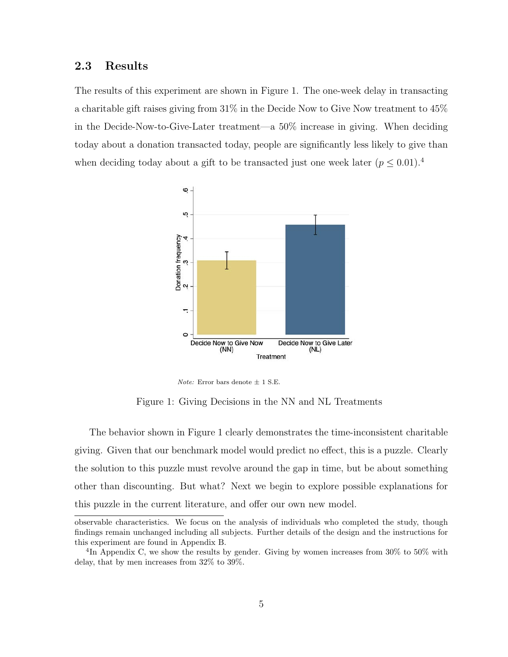## 2.3 Results

The results of this experiment are shown in Figure 1. The one-week delay in transacting a charitable gift raises giving from 31% in the Decide Now to Give Now treatment to 45% in the Decide-Now-to-Give-Later treatment—a 50% increase in giving. When deciding today about a donation transacted today, people are significantly less likely to give than when deciding today about a gift to be transacted just one week later  $(p \leq 0.01)^{4}$ 



Note: Error bars denote  $\pm$  1 S.E.

Figure 1: Giving Decisions in the NN and NL Treatments

The behavior shown in Figure 1 clearly demonstrates the time-inconsistent charitable giving. Given that our benchmark model would predict no effect, this is a puzzle. Clearly the solution to this puzzle must revolve around the gap in time, but be about something other than discounting. But what? Next we begin to explore possible explanations for this puzzle in the current literature, and offer our own new model.

observable characteristics. We focus on the analysis of individuals who completed the study, though findings remain unchanged including all subjects. Further details of the design and the instructions for this experiment are found in Appendix B.

<sup>&</sup>lt;sup>4</sup>In Appendix C, we show the results by gender. Giving by women increases from 30% to 50% with delay, that by men increases from 32% to 39%.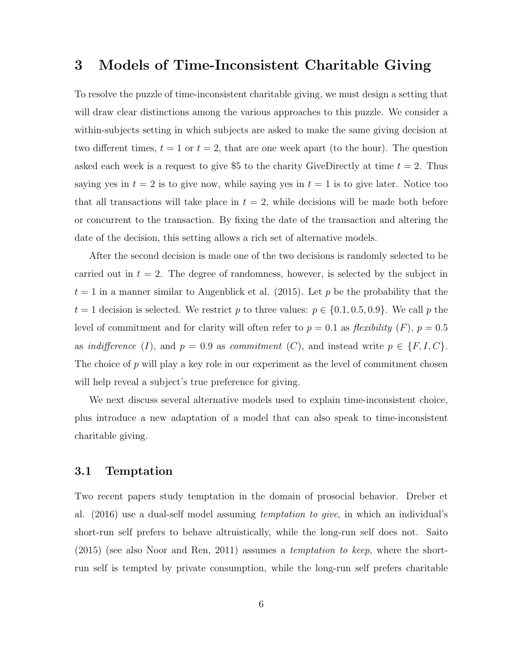## 3 Models of Time-Inconsistent Charitable Giving

To resolve the puzzle of time-inconsistent charitable giving, we must design a setting that will draw clear distinctions among the various approaches to this puzzle. We consider a within-subjects setting in which subjects are asked to make the same giving decision at two different times,  $t = 1$  or  $t = 2$ , that are one week apart (to the hour). The question asked each week is a request to give \$5 to the charity GiveDirectly at time  $t = 2$ . Thus saying yes in  $t = 2$  is to give now, while saying yes in  $t = 1$  is to give later. Notice too that all transactions will take place in  $t = 2$ , while decisions will be made both before or concurrent to the transaction. By fixing the date of the transaction and altering the date of the decision, this setting allows a rich set of alternative models.

After the second decision is made one of the two decisions is randomly selected to be carried out in  $t = 2$ . The degree of randomness, however, is selected by the subject in  $t = 1$  in a manner similar to Augenblick et al. (2015). Let p be the probability that the  $t = 1$  decision is selected. We restrict p to three values:  $p \in \{0.1, 0.5, 0.9\}$ . We call p the level of commitment and for clarity will often refer to  $p = 0.1$  as *flexibility*  $(F)$ ,  $p = 0.5$ as indifference (I), and  $p = 0.9$  as commitment (C), and instead write  $p \in \{F, I, C\}$ . The choice of  $p$  will play a key role in our experiment as the level of commitment chosen will help reveal a subject's true preference for giving.

We next discuss several alternative models used to explain time-inconsistent choice, plus introduce a new adaptation of a model that can also speak to time-inconsistent charitable giving.

## 3.1 Temptation

Two recent papers study temptation in the domain of prosocial behavior. Dreber et al.  $(2016)$  use a dual-self model assuming *temptation to give*, in which an individual's short-run self prefers to behave altruistically, while the long-run self does not. Saito (2015) (see also Noor and Ren, 2011) assumes a temptation to keep, where the shortrun self is tempted by private consumption, while the long-run self prefers charitable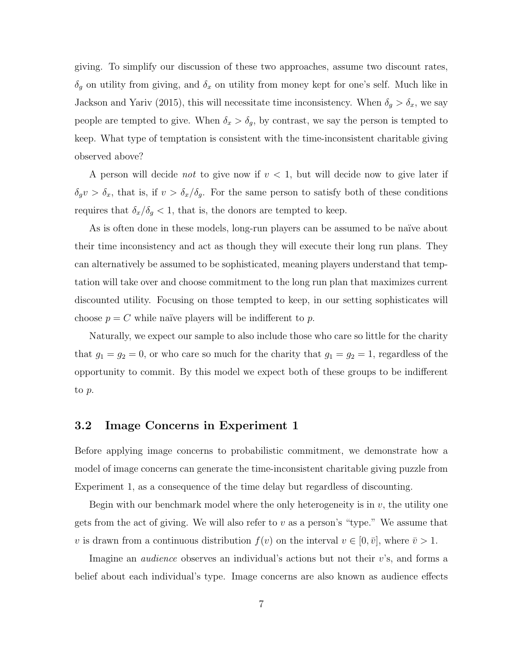giving. To simplify our discussion of these two approaches, assume two discount rates,  $\delta_g$  on utility from giving, and  $\delta_x$  on utility from money kept for one's self. Much like in Jackson and Yariv (2015), this will necessitate time inconsistency. When  $\delta_g > \delta_x$ , we say people are tempted to give. When  $\delta_x > \delta_g$ , by contrast, we say the person is tempted to keep. What type of temptation is consistent with the time-inconsistent charitable giving observed above?

A person will decide *not* to give now if  $v < 1$ , but will decide now to give later if  $\delta_g v > \delta_x$ , that is, if  $v > \delta_x/\delta_g$ . For the same person to satisfy both of these conditions requires that  $\delta_x/\delta_g < 1$ , that is, the donors are tempted to keep.

As is often done in these models, long-run players can be assumed to be naïve about their time inconsistency and act as though they will execute their long run plans. They can alternatively be assumed to be sophisticated, meaning players understand that temptation will take over and choose commitment to the long run plan that maximizes current discounted utility. Focusing on those tempted to keep, in our setting sophisticates will choose  $p = C$  while naïve players will be indifferent to p.

Naturally, we expect our sample to also include those who care so little for the charity that  $g_1 = g_2 = 0$ , or who care so much for the charity that  $g_1 = g_2 = 1$ , regardless of the opportunity to commit. By this model we expect both of these groups to be indifferent to p.

### 3.2 Image Concerns in Experiment 1

Before applying image concerns to probabilistic commitment, we demonstrate how a model of image concerns can generate the time-inconsistent charitable giving puzzle from Experiment 1, as a consequence of the time delay but regardless of discounting.

Begin with our benchmark model where the only heterogeneity is in  $v$ , the utility one gets from the act of giving. We will also refer to  $v$  as a person's "type." We assume that v is drawn from a continuous distribution  $f(v)$  on the interval  $v \in [0, \bar{v}]$ , where  $\bar{v} > 1$ .

Imagine an audience observes an individual's actions but not their v's, and forms a belief about each individual's type. Image concerns are also known as audience effects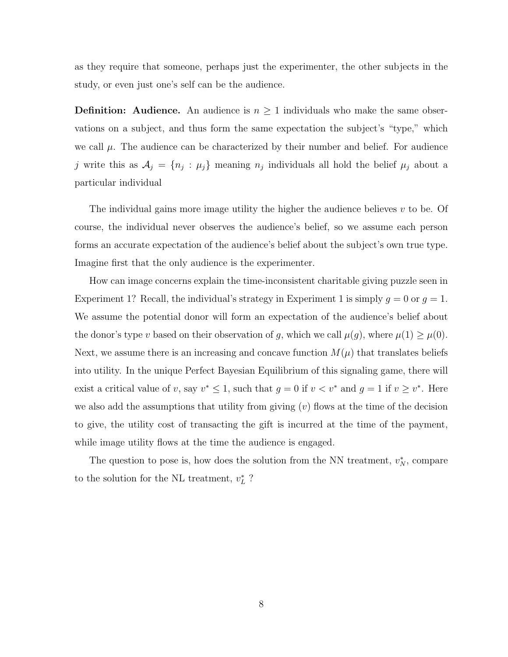as they require that someone, perhaps just the experimenter, the other subjects in the study, or even just one's self can be the audience.

**Definition:** Audience. An audience is  $n \geq 1$  individuals who make the same observations on a subject, and thus form the same expectation the subject's "type," which we call  $\mu$ . The audience can be characterized by their number and belief. For audience j write this as  $A_j = \{n_j : \mu_j\}$  meaning  $n_j$  individuals all hold the belief  $\mu_j$  about a particular individual

The individual gains more image utility the higher the audience believes  $v$  to be. Of course, the individual never observes the audience's belief, so we assume each person forms an accurate expectation of the audience's belief about the subject's own true type. Imagine first that the only audience is the experimenter.

How can image concerns explain the time-inconsistent charitable giving puzzle seen in Experiment 1? Recall, the individual's strategy in Experiment 1 is simply  $g = 0$  or  $g = 1$ . We assume the potential donor will form an expectation of the audience's belief about the donor's type v based on their observation of g, which we call  $\mu(g)$ , where  $\mu(1) \geq \mu(0)$ . Next, we assume there is an increasing and concave function  $M(\mu)$  that translates beliefs into utility. In the unique Perfect Bayesian Equilibrium of this signaling game, there will exist a critical value of v, say  $v^* \leq 1$ , such that  $g = 0$  if  $v < v^*$  and  $g = 1$  if  $v \geq v^*$ . Here we also add the assumptions that utility from giving  $(v)$  flows at the time of the decision to give, the utility cost of transacting the gift is incurred at the time of the payment, while image utility flows at the time the audience is engaged.

The question to pose is, how does the solution from the NN treatment,  $v_N^*$ , compare to the solution for the NL treatment,  $v_L^*$  ?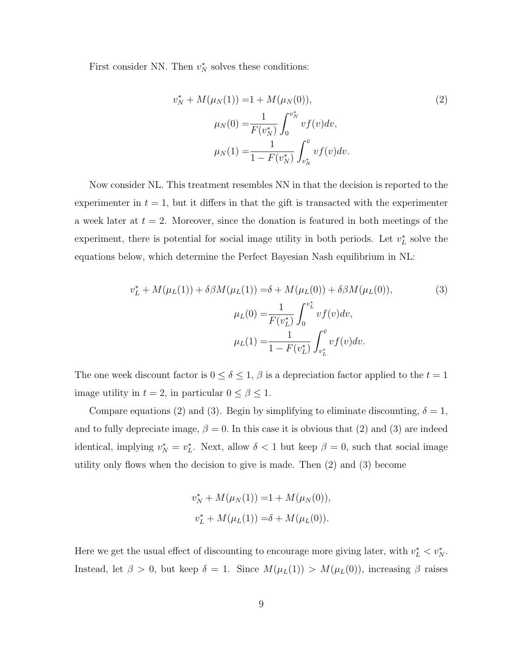First consider NN. Then  $v_N^*$  solves these conditions:

$$
v_N^* + M(\mu_N(1)) = 1 + M(\mu_N(0)),
$$
  
\n
$$
\mu_N(0) = \frac{1}{F(v_N^*)} \int_0^{v_N^*} v f(v) dv,
$$
  
\n
$$
\mu_N(1) = \frac{1}{1 - F(v_N^*)} \int_{v_N^*}^{\bar{v}} v f(v) dv.
$$
\n(2)

Now consider NL. This treatment resembles NN in that the decision is reported to the experimenter in  $t = 1$ , but it differs in that the gift is transacted with the experimenter a week later at  $t = 2$ . Moreover, since the donation is featured in both meetings of the experiment, there is potential for social image utility in both periods. Let  $v_L^*$  solve the equations below, which determine the Perfect Bayesian Nash equilibrium in NL:

$$
v_L^* + M(\mu_L(1)) + \delta \beta M(\mu_L(1)) = \delta + M(\mu_L(0)) + \delta \beta M(\mu_L(0)),
$$
\n
$$
\mu_L(0) = \frac{1}{F(v_L^*)} \int_0^{v_L^*} v f(v) dv,
$$
\n
$$
\mu_L(1) = \frac{1}{1 - F(v_L^*)} \int_{v_L^*}^{\bar{v}} v f(v) dv.
$$
\n(3)

The one week discount factor is  $0 \le \delta \le 1$ ,  $\beta$  is a depreciation factor applied to the  $t = 1$ image utility in  $t = 2$ , in particular  $0 \le \beta \le 1$ .

Compare equations (2) and (3). Begin by simplifying to eliminate discounting,  $\delta = 1$ , and to fully depreciate image,  $\beta = 0$ . In this case it is obvious that (2) and (3) are indeed identical, implying  $v_N^* = v_L^*$ . Next, allow  $\delta < 1$  but keep  $\beta = 0$ , such that social image utility only flows when the decision to give is made. Then (2) and (3) become

$$
v_N^* + M(\mu_N(1)) = 1 + M(\mu_N(0)),
$$
  

$$
v_L^* + M(\mu_L(1)) = \delta + M(\mu_L(0)).
$$

Here we get the usual effect of discounting to encourage more giving later, with  $v_L^* < v_N^*$ . Instead, let  $\beta > 0$ , but keep  $\delta = 1$ . Since  $M(\mu_L(1)) > M(\mu_L(0))$ , increasing  $\beta$  raises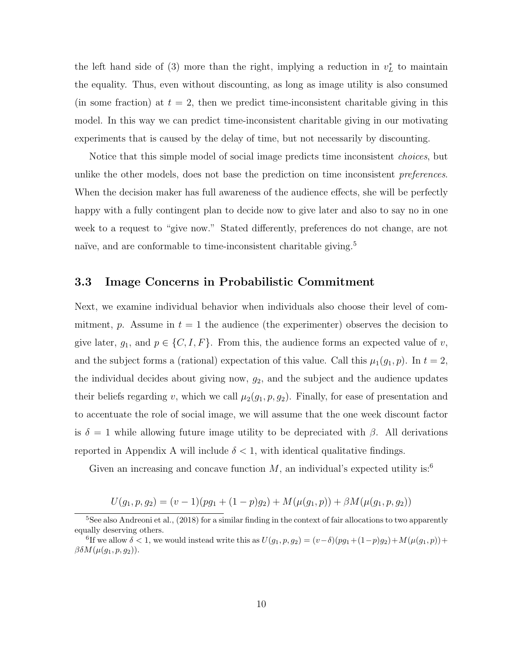the left hand side of (3) more than the right, implying a reduction in  $v_L^*$  to maintain the equality. Thus, even without discounting, as long as image utility is also consumed (in some fraction) at  $t = 2$ , then we predict time-inconsistent charitable giving in this model. In this way we can predict time-inconsistent charitable giving in our motivating experiments that is caused by the delay of time, but not necessarily by discounting.

Notice that this simple model of social image predicts time inconsistent choices, but unlike the other models, does not base the prediction on time inconsistent preferences. When the decision maker has full awareness of the audience effects, she will be perfectly happy with a fully contingent plan to decide now to give later and also to say no in one week to a request to "give now." Stated differently, preferences do not change, are not naïve, and are conformable to time-inconsistent charitable giving.<sup>5</sup>

### 3.3 Image Concerns in Probabilistic Commitment

Next, we examine individual behavior when individuals also choose their level of commitment, p. Assume in  $t = 1$  the audience (the experimenter) observes the decision to give later,  $g_1$ , and  $p \in \{C, I, F\}$ . From this, the audience forms an expected value of v, and the subject forms a (rational) expectation of this value. Call this  $\mu_1(g_1, p)$ . In  $t = 2$ , the individual decides about giving now,  $g_2$ , and the subject and the audience updates their beliefs regarding v, which we call  $\mu_2(g_1, p, g_2)$ . Finally, for ease of presentation and to accentuate the role of social image, we will assume that the one week discount factor is  $\delta = 1$  while allowing future image utility to be depreciated with  $\beta$ . All derivations reported in Appendix A will include  $\delta < 1$ , with identical qualitative findings.

Given an increasing and concave function  $M$ , an individual's expected utility is:<sup>6</sup>

$$
U(g_1, p, g_2) = (v - 1)(pg_1 + (1 - p)g_2) + M(\mu(g_1, p)) + \beta M(\mu(g_1, p, g_2))
$$

<sup>&</sup>lt;sup>5</sup>See also Andreoni et al.,  $(2018)$  for a similar finding in the context of fair allocations to two apparently equally deserving others.

<sup>&</sup>lt;sup>6</sup>If we allow  $\delta < 1$ , we would instead write this as  $U(g_1, p, g_2) = (v - \delta)(pg_1 + (1-p)g_2) + M(\mu(g_1, p)) +$  $\beta \delta M(\mu(g_1, p, g_2)).$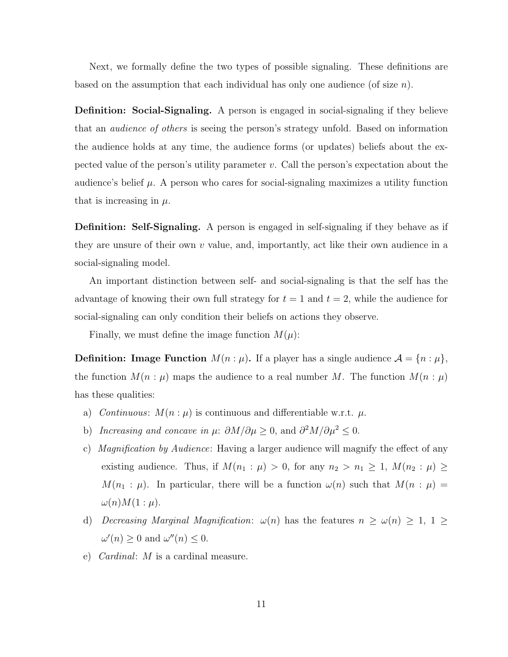Next, we formally define the two types of possible signaling. These definitions are based on the assumption that each individual has only one audience (of size  $n$ ).

Definition: Social-Signaling. A person is engaged in social-signaling if they believe that an *audience of others* is seeing the person's strategy unfold. Based on information the audience holds at any time, the audience forms (or updates) beliefs about the expected value of the person's utility parameter  $v$ . Call the person's expectation about the audience's belief  $\mu$ . A person who cares for social-signaling maximizes a utility function that is increasing in  $\mu$ .

**Definition: Self-Signaling.** A person is engaged in self-signaling if they behave as if they are unsure of their own  $v$  value, and, importantly, act like their own audience in a social-signaling model.

An important distinction between self- and social-signaling is that the self has the advantage of knowing their own full strategy for  $t = 1$  and  $t = 2$ , while the audience for social-signaling can only condition their beliefs on actions they observe.

Finally, we must define the image function  $M(\mu)$ :

**Definition:** Image Function  $M(n : \mu)$ . If a player has a single audience  $\mathcal{A} = \{n : \mu\}$ , the function  $M(n : \mu)$  maps the audience to a real number M. The function  $M(n : \mu)$ has these qualities:

- a) Continuous:  $M(n : \mu)$  is continuous and differentiable w.r.t.  $\mu$ .
- b) Increasing and concave in  $\mu$ :  $\partial M/\partial \mu \geq 0$ , and  $\partial^2 M/\partial \mu^2 \leq 0$ .
- c) Magnification by Audience: Having a larger audience will magnify the effect of any existing audience. Thus, if  $M(n_1 : \mu) > 0$ , for any  $n_2 > n_1 \geq 1$ ,  $M(n_2 : \mu) \geq$  $M(n_1 : \mu)$ . In particular, there will be a function  $\omega(n)$  such that  $M(n : \mu)$  $\omega(n)M(1:\mu).$
- d) Decreasing Marginal Magnification:  $\omega(n)$  has the features  $n \geq \omega(n) \geq 1, 1 \geq$  $\omega'(n) \geq 0$  and  $\omega''(n) \leq 0$ .
- e) Cardinal: M is a cardinal measure.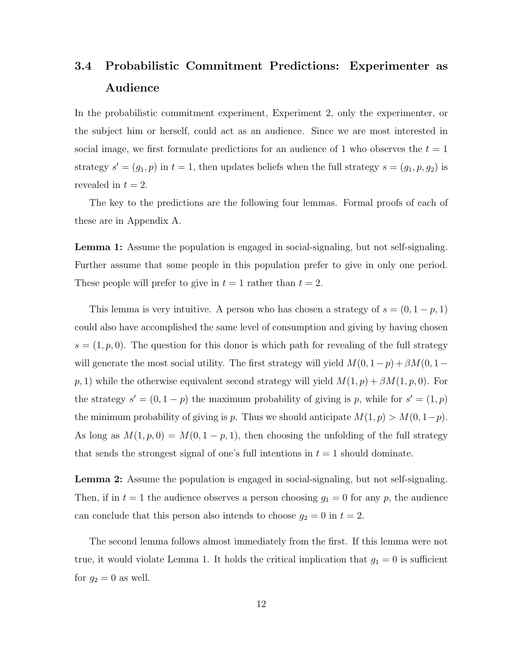# 3.4 Probabilistic Commitment Predictions: Experimenter as Audience

In the probabilistic commitment experiment, Experiment 2, only the experimenter, or the subject him or herself, could act as an audience. Since we are most interested in social image, we first formulate predictions for an audience of 1 who observes the  $t = 1$ strategy  $s' = (g_1, p)$  in  $t = 1$ , then updates beliefs when the full strategy  $s = (g_1, p, g_2)$  is revealed in  $t = 2$ .

The key to the predictions are the following four lemmas. Formal proofs of each of these are in Appendix A.

Lemma 1: Assume the population is engaged in social-signaling, but not self-signaling. Further assume that some people in this population prefer to give in only one period. These people will prefer to give in  $t = 1$  rather than  $t = 2$ .

This lemma is very intuitive. A person who has chosen a strategy of  $s = (0, 1 - p, 1)$ could also have accomplished the same level of consumption and giving by having chosen  $s = (1, p, 0)$ . The question for this donor is which path for revealing of the full strategy will generate the most social utility. The first strategy will yield  $M(0, 1-p) + \beta M(0, 1-p)$  $p, 1)$  while the otherwise equivalent second strategy will yield  $M(1, p) + \beta M(1, p, 0)$ . For the strategy  $s' = (0, 1 - p)$  the maximum probability of giving is p, while for  $s' = (1, p)$ the minimum probability of giving is p. Thus we should anticipate  $M(1, p) > M(0, 1-p)$ . As long as  $M(1, p, 0) = M(0, 1 - p, 1)$ , then choosing the unfolding of the full strategy that sends the strongest signal of one's full intentions in  $t = 1$  should dominate.

Lemma 2: Assume the population is engaged in social-signaling, but not self-signaling. Then, if in  $t = 1$  the audience observes a person choosing  $g_1 = 0$  for any p, the audience can conclude that this person also intends to choose  $g_2 = 0$  in  $t = 2$ .

The second lemma follows almost immediately from the first. If this lemma were not true, it would violate Lemma 1. It holds the critical implication that  $g_1 = 0$  is sufficient for  $g_2 = 0$  as well.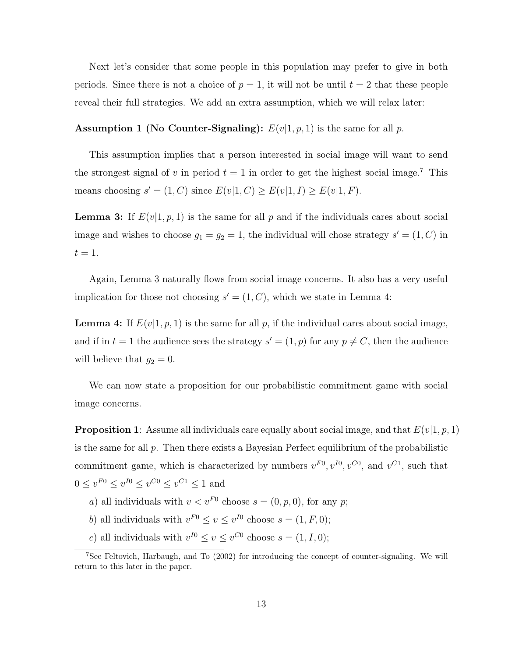Next let's consider that some people in this population may prefer to give in both periods. Since there is not a choice of  $p = 1$ , it will not be until  $t = 2$  that these people reveal their full strategies. We add an extra assumption, which we will relax later:

#### **Assumption 1 (No Counter-Signaling):**  $E(v|1, p, 1)$  is the same for all p.

This assumption implies that a person interested in social image will want to send the strongest signal of v in period  $t = 1$  in order to get the highest social image.<sup>7</sup> This means choosing  $s' = (1, C)$  since  $E(v|1, C) \ge E(v|1, I) \ge E(v|1, F)$ .

**Lemma 3:** If  $E(v|1, p, 1)$  is the same for all p and if the individuals cares about social image and wishes to choose  $g_1 = g_2 = 1$ , the individual will chose strategy  $s' = (1, C)$  in  $t=1$ .

Again, Lemma 3 naturally flows from social image concerns. It also has a very useful implication for those not choosing  $s' = (1, C)$ , which we state in Lemma 4:

**Lemma 4:** If  $E(v|1, p, 1)$  is the same for all p, if the individual cares about social image, and if in  $t = 1$  the audience sees the strategy  $s' = (1, p)$  for any  $p \neq C$ , then the audience will believe that  $g_2 = 0$ .

We can now state a proposition for our probabilistic commitment game with social image concerns.

**Proposition 1**: Assume all individuals care equally about social image, and that  $E(v|1, p, 1)$ is the same for all  $p$ . Then there exists a Bayesian Perfect equilibrium of the probabilistic commitment game, which is characterized by numbers  $v^{F0}$ ,  $v^{I0}$ ,  $v^{C0}$ , and  $v^{C1}$ , such that  $0 \le v^{F0} \le v^{I0} \le v^{C0} \le v^{C1} \le 1$  and

- *a*) all individuals with  $v < v<sup>F0</sup>$  choose  $s = (0, p, 0)$ , for any *p*;
- b) all individuals with  $v^{F0} \le v \le v^{I0}$  choose  $s = (1, F, 0);$
- c) all individuals with  $v^{I0} \le v \le v^{C0}$  choose  $s = (1, I, 0);$

 $7$ See Feltovich, Harbaugh, and To  $(2002)$  for introducing the concept of counter-signaling. We will return to this later in the paper.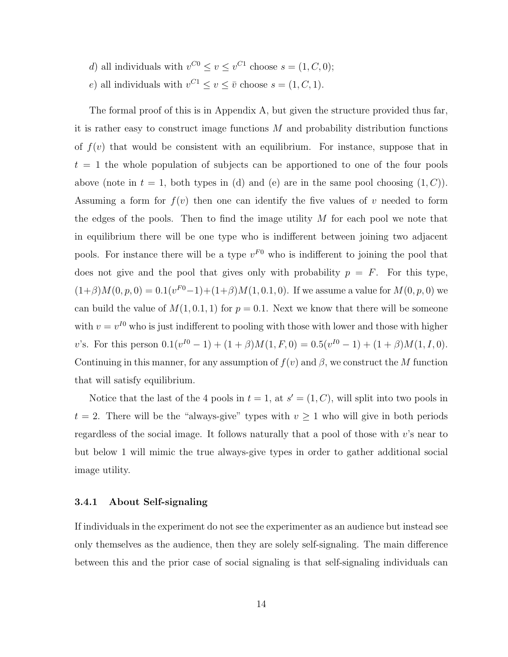- d) all individuals with  $v^{C0} \le v \le v^{C1}$  choose  $s = (1, C, 0);$
- e) all individuals with  $v^{C_1} \le v \le \overline{v}$  choose  $s = (1, C, 1)$ .

The formal proof of this is in Appendix A, but given the structure provided thus far, it is rather easy to construct image functions  $M$  and probability distribution functions of  $f(v)$  that would be consistent with an equilibrium. For instance, suppose that in  $t = 1$  the whole population of subjects can be apportioned to one of the four pools above (note in  $t = 1$ , both types in (d) and (e) are in the same pool choosing  $(1, C)$ ). Assuming a form for  $f(v)$  then one can identify the five values of v needed to form the edges of the pools. Then to find the image utility  $M$  for each pool we note that in equilibrium there will be one type who is indifferent between joining two adjacent pools. For instance there will be a type  $v^{F0}$  who is indifferent to joining the pool that does not give and the pool that gives only with probability  $p = F$ . For this type,  $(1+\beta)M(0, p, 0) = 0.1(v^{F0}-1)+(1+\beta)M(1, 0.1, 0)$ . If we assume a value for  $M(0, p, 0)$  we can build the value of  $M(1, 0.1, 1)$  for  $p = 0.1$ . Next we know that there will be someone with  $v = v^{10}$  who is just indifferent to pooling with those with lower and those with higher v's. For this person  $0.1(v^{I0} - 1) + (1 + \beta)M(1, F, 0) = 0.5(v^{I0} - 1) + (1 + \beta)M(1, I, 0)$ . Continuing in this manner, for any assumption of  $f(v)$  and  $\beta$ , we construct the M function that will satisfy equilibrium.

Notice that the last of the 4 pools in  $t = 1$ , at  $s' = (1, C)$ , will split into two pools in  $t = 2$ . There will be the "always-give" types with  $v \ge 1$  who will give in both periods regardless of the social image. It follows naturally that a pool of those with v's near to but below 1 will mimic the true always-give types in order to gather additional social image utility.

#### 3.4.1 About Self-signaling

If individuals in the experiment do not see the experimenter as an audience but instead see only themselves as the audience, then they are solely self-signaling. The main difference between this and the prior case of social signaling is that self-signaling individuals can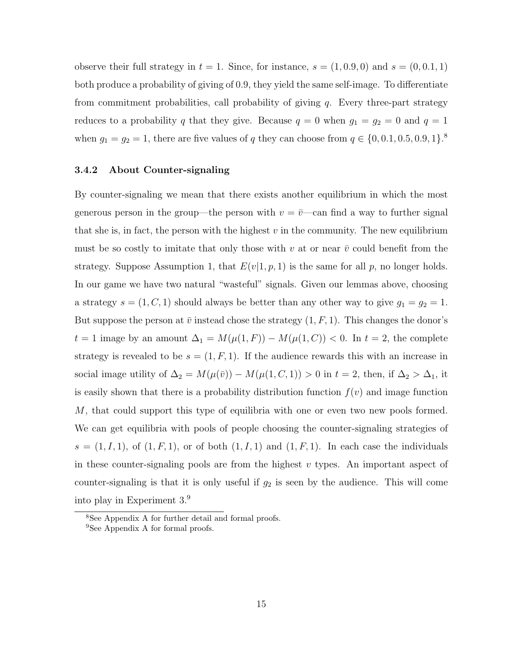observe their full strategy in  $t = 1$ . Since, for instance,  $s = (1, 0.9, 0)$  and  $s = (0, 0.1, 1)$ both produce a probability of giving of 0.9, they yield the same self-image. To differentiate from commitment probabilities, call probability of giving  $q$ . Every three-part strategy reduces to a probability q that they give. Because  $q = 0$  when  $g_1 = g_2 = 0$  and  $q = 1$ when  $g_1 = g_2 = 1$ , there are five values of q they can choose from  $q \in \{0, 0.1, 0.5, 0.9, 1\}$ .

#### 3.4.2 About Counter-signaling

By counter-signaling we mean that there exists another equilibrium in which the most generous person in the group—the person with  $v = \overline{v}$ —can find a way to further signal that she is, in fact, the person with the highest  $v$  in the community. The new equilibrium must be so costly to imitate that only those with v at or near  $\bar{v}$  could benefit from the strategy. Suppose Assumption 1, that  $E(v|1, p, 1)$  is the same for all p, no longer holds. In our game we have two natural "wasteful" signals. Given our lemmas above, choosing a strategy  $s = (1, C, 1)$  should always be better than any other way to give  $g_1 = g_2 = 1$ . But suppose the person at  $\bar{v}$  instead chose the strategy  $(1, F, 1)$ . This changes the donor's  $t = 1$  image by an amount  $\Delta_1 = M(\mu(1, F)) - M(\mu(1, C)) < 0$ . In  $t = 2$ , the complete strategy is revealed to be  $s = (1, F, 1)$ . If the audience rewards this with an increase in social image utility of  $\Delta_2 = M(\mu(\bar{v})) - M(\mu(1, C, 1)) > 0$  in  $t = 2$ , then, if  $\Delta_2 > \Delta_1$ , it is easily shown that there is a probability distribution function  $f(v)$  and image function M, that could support this type of equilibria with one or even two new pools formed. We can get equilibria with pools of people choosing the counter-signaling strategies of  $s = (1, I, 1)$ , of  $(1, F, 1)$ , or of both  $(1, I, 1)$  and  $(1, F, 1)$ . In each case the individuals in these counter-signaling pools are from the highest  $v$  types. An important aspect of counter-signaling is that it is only useful if  $g_2$  is seen by the audience. This will come into play in Experiment 3.<sup>9</sup>

<sup>8</sup>See Appendix A for further detail and formal proofs.

<sup>9</sup>See Appendix A for formal proofs.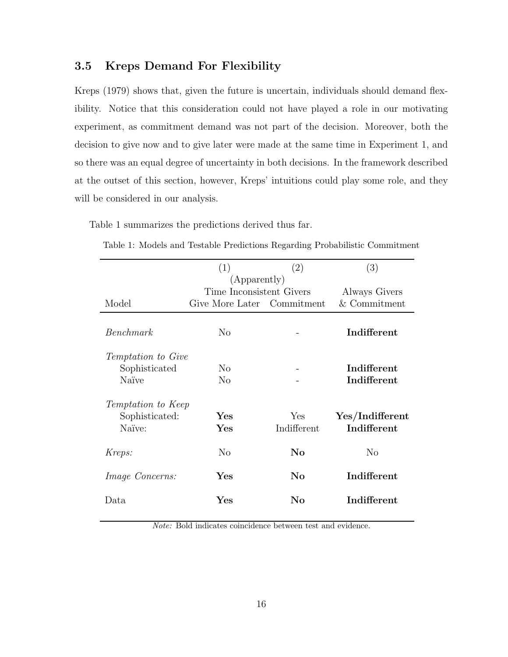## 3.5 Kreps Demand For Flexibility

Kreps (1979) shows that, given the future is uncertain, individuals should demand flexibility. Notice that this consideration could not have played a role in our motivating experiment, as commitment demand was not part of the decision. Moreover, both the decision to give now and to give later were made at the same time in Experiment 1, and so there was an equal degree of uncertainty in both decisions. In the framework described at the outset of this section, however, Kreps' intuitions could play some role, and they will be considered in our analysis.

Table 1 summarizes the predictions derived thus far.

|                        | (1)                        | (2)          |                 |
|------------------------|----------------------------|--------------|-----------------|
|                        |                            | (Apparently) |                 |
|                        | Time Inconsistent Givers   |              | Always Givers   |
| Model                  | Give More Later Commitment |              | $&$ Commitment  |
| Benchmark              | No                         |              | Indifferent     |
| Temptation to Give     |                            |              |                 |
| Sophisticated          | N <sub>o</sub>             |              | Indifferent     |
| Naïve                  | $\rm No$                   |              | Indifferent     |
| Temptation to Keep     |                            |              |                 |
| Sophisticated:         | ${\rm Yes}$                | Yes          | Yes/Indifferent |
| Naïve:                 | $\rm Yes$                  | Indifferent  | Indifferent     |
| Kreps:                 | $\rm No$                   | $\rm No$     | No              |
| <i>Image Concerns:</i> | $\rm Yes$                  | $\bf No$     | Indifferent     |
| Data                   | Yes                        | No           | Indifferent     |

Table 1: Models and Testable Predictions Regarding Probabilistic Commitment

Note: Bold indicates coincidence between test and evidence.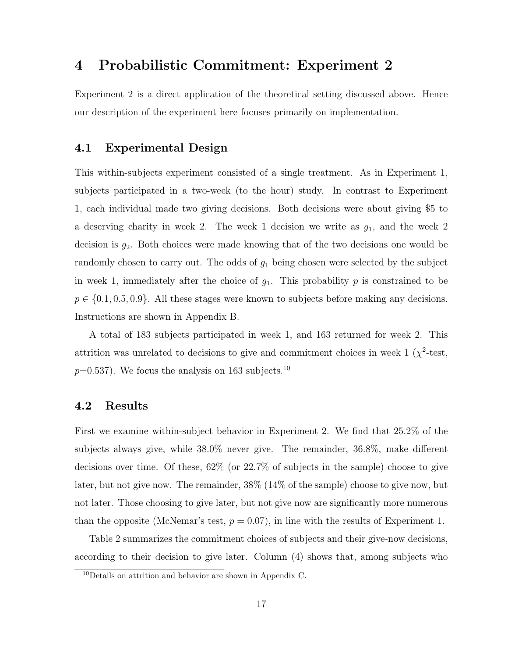## 4 Probabilistic Commitment: Experiment 2

Experiment 2 is a direct application of the theoretical setting discussed above. Hence our description of the experiment here focuses primarily on implementation.

## 4.1 Experimental Design

This within-subjects experiment consisted of a single treatment. As in Experiment 1, subjects participated in a two-week (to the hour) study. In contrast to Experiment 1, each individual made two giving decisions. Both decisions were about giving \$5 to a deserving charity in week 2. The week 1 decision we write as  $g_1$ , and the week 2 decision is  $g_2$ . Both choices were made knowing that of the two decisions one would be randomly chosen to carry out. The odds of  $g_1$  being chosen were selected by the subject in week 1, immediately after the choice of  $g_1$ . This probability p is constrained to be  $p \in \{0.1, 0.5, 0.9\}$ . All these stages were known to subjects before making any decisions. Instructions are shown in Appendix B.

A total of 183 subjects participated in week 1, and 163 returned for week 2. This attrition was unrelated to decisions to give and commitment choices in week  $1 \ (\chi^2$ -test,  $p=0.537$ . We focus the analysis on 163 subjects.<sup>10</sup>

### 4.2 Results

First we examine within-subject behavior in Experiment 2. We find that 25.2% of the subjects always give, while 38.0% never give. The remainder, 36.8%, make different decisions over time. Of these, 62% (or 22.7% of subjects in the sample) choose to give later, but not give now. The remainder, 38% (14% of the sample) choose to give now, but not later. Those choosing to give later, but not give now are significantly more numerous than the opposite (McNemar's test,  $p = 0.07$ ), in line with the results of Experiment 1.

Table 2 summarizes the commitment choices of subjects and their give-now decisions, according to their decision to give later. Column (4) shows that, among subjects who

<sup>10</sup>Details on attrition and behavior are shown in Appendix C.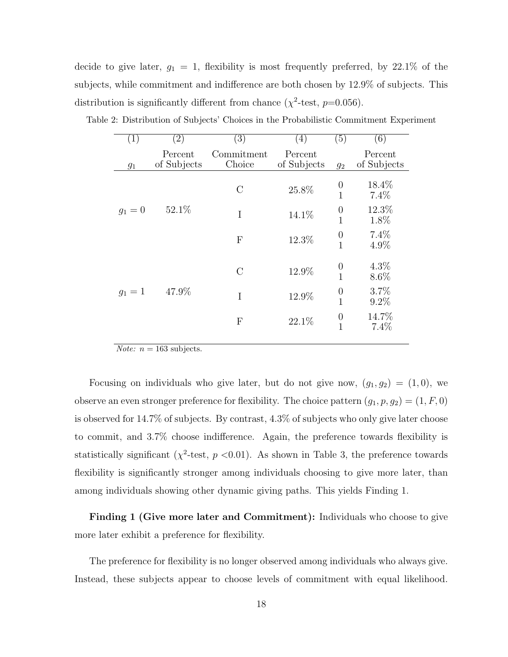decide to give later,  $g_1 = 1$ , flexibility is most frequently preferred, by 22.1% of the subjects, while commitment and indifference are both chosen by 12.9% of subjects. This distribution is significantly different from chance  $(\chi^2$ -test,  $p=0.056)$ .

| $\left( \overline{1}\right)$ | $\left( 2\right)$      | $\left( 3\right)$         | 4)                     | $\left( 5\right)$                  | $\left( 6\right)$      |
|------------------------------|------------------------|---------------------------|------------------------|------------------------------------|------------------------|
| $g_1$                        | Percent<br>of Subjects | Commitment<br>Choice      | Percent<br>of Subjects | $g_2$                              | Percent<br>of Subjects |
|                              |                        | $\mathcal{C}$             | 25.8%                  | $\boldsymbol{0}$<br>$\overline{1}$ | 18.4%<br>7.4%          |
| $g_1 = 0$                    | 52.1%                  | I                         | 14.1%                  | $\boldsymbol{0}$<br>$\overline{1}$ | 12.3%<br>1.8%          |
|                              |                        | $\boldsymbol{\mathrm{F}}$ | 12.3%                  | $\boldsymbol{0}$<br>$\overline{1}$ | 7.4%<br>4.9%           |
|                              |                        | $\mathcal{C}$             | 12.9%                  | $\boldsymbol{0}$<br>$\mathbf{1}$   | 4.3%<br>8.6%           |
| $g_1 = 1$                    | 47.9%                  | I                         | 12.9%                  | $\boldsymbol{0}$<br>$\overline{1}$ | 3.7%<br>9.2%           |
|                              |                        | $\boldsymbol{\mathrm{F}}$ | 22.1%                  | $\boldsymbol{0}$<br>$\mathbf{1}$   | 14.7%<br>7.4%          |
|                              |                        |                           |                        |                                    |                        |

Table 2: Distribution of Subjects' Choices in the Probabilistic Commitment Experiment

*Note:*  $n = 163$  subjects.

Focusing on individuals who give later, but do not give now,  $(g_1, g_2) = (1, 0)$ , we observe an even stronger preference for flexibility. The choice pattern  $(g_1, p, g_2) = (1, F, 0)$ is observed for 14.7% of subjects. By contrast, 4.3% of subjects who only give later choose to commit, and 3.7% choose indifference. Again, the preference towards flexibility is statistically significant ( $\chi^2$ -test,  $p < 0.01$ ). As shown in Table 3, the preference towards flexibility is significantly stronger among individuals choosing to give more later, than among individuals showing other dynamic giving paths. This yields Finding 1.

Finding 1 (Give more later and Commitment): Individuals who choose to give more later exhibit a preference for flexibility.

The preference for flexibility is no longer observed among individuals who always give. Instead, these subjects appear to choose levels of commitment with equal likelihood.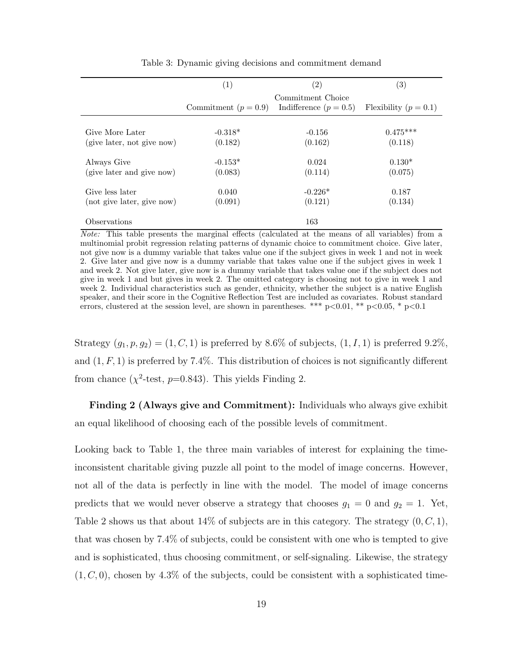|                            | (1)                    | $\left( 2\right)$                             | $\left( 3\right)$       |
|----------------------------|------------------------|-----------------------------------------------|-------------------------|
|                            | Commitment $(p = 0.9)$ | Commitment Choice<br>Indifference $(p = 0.5)$ | Flexibility $(p = 0.1)$ |
| Give More Later            | $-0.318*$              | $-0.156$                                      | $0.475***$              |
| (give later, not give now) | (0.182)                | (0.162)                                       | (0.118)                 |
| Always Give                | $-0.153*$              | 0.024                                         | $0.130*$                |
| (give later and give now)  | (0.083)                | (0.114)                                       | (0.075)                 |
| Give less later            | 0.040                  | $-0.226*$                                     | 0.187                   |
| (not give later, give now) | (0.091)                | (0.121)                                       | (0.134)                 |
| <i><b>Observations</b></i> |                        | 163                                           |                         |

Table 3: Dynamic giving decisions and commitment demand

Note: This table presents the marginal effects (calculated at the means of all variables) from a multinomial probit regression relating patterns of dynamic choice to commitment choice. Give later, not give now is a dummy variable that takes value one if the subject gives in week 1 and not in week 2. Give later and give now is a dummy variable that takes value one if the subject gives in week 1 and week 2. Not give later, give now is a dummy variable that takes value one if the subject does not give in week 1 and but gives in week 2. The omitted category is choosing not to give in week 1 and week 2. Individual characteristics such as gender, ethnicity, whether the subject is a native English speaker, and their score in the Cognitive Reflection Test are included as covariates. Robust standard errors, clustered at the session level, are shown in parentheses. \*\*\* p<0.01, \*\* p<0.05, \* p<0.1

Strategy  $(g_1, p, g_2) = (1, C, 1)$  is preferred by 8.6% of subjects,  $(1, I, 1)$  is preferred 9.2%, and  $(1, F, 1)$  is preferred by 7.4%. This distribution of choices is not significantly different from chance  $(\chi^2$ -test,  $p=0.843)$ . This yields Finding 2.

Finding 2 (Always give and Commitment): Individuals who always give exhibit an equal likelihood of choosing each of the possible levels of commitment.

Looking back to Table 1, the three main variables of interest for explaining the timeinconsistent charitable giving puzzle all point to the model of image concerns. However, not all of the data is perfectly in line with the model. The model of image concerns predicts that we would never observe a strategy that chooses  $g_1 = 0$  and  $g_2 = 1$ . Yet, Table 2 shows us that about 14% of subjects are in this category. The strategy  $(0, C, 1)$ , that was chosen by 7.4% of subjects, could be consistent with one who is tempted to give and is sophisticated, thus choosing commitment, or self-signaling. Likewise, the strategy  $(1, C, 0)$ , chosen by 4.3% of the subjects, could be consistent with a sophisticated time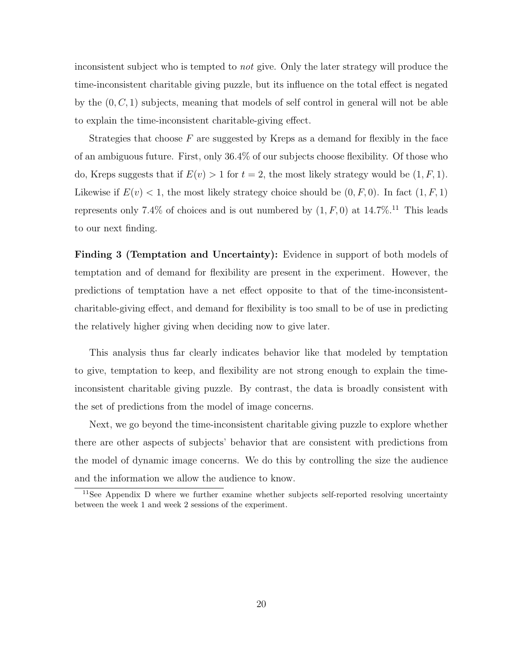inconsistent subject who is tempted to not give. Only the later strategy will produce the time-inconsistent charitable giving puzzle, but its influence on the total effect is negated by the  $(0, C, 1)$  subjects, meaning that models of self control in general will not be able to explain the time-inconsistent charitable-giving effect.

Strategies that choose  $F$  are suggested by Kreps as a demand for flexibly in the face of an ambiguous future. First, only 36.4% of our subjects choose flexibility. Of those who do, Kreps suggests that if  $E(v) > 1$  for  $t = 2$ , the most likely strategy would be  $(1, F, 1)$ . Likewise if  $E(v) < 1$ , the most likely strategy choice should be  $(0, F, 0)$ . In fact  $(1, F, 1)$ represents only 7.4% of choices and is out numbered by  $(1, F, 0)$  at  $14.7\%$ .<sup>11</sup> This leads to our next finding.

Finding 3 (Temptation and Uncertainty): Evidence in support of both models of temptation and of demand for flexibility are present in the experiment. However, the predictions of temptation have a net effect opposite to that of the time-inconsistentcharitable-giving effect, and demand for flexibility is too small to be of use in predicting the relatively higher giving when deciding now to give later.

This analysis thus far clearly indicates behavior like that modeled by temptation to give, temptation to keep, and flexibility are not strong enough to explain the timeinconsistent charitable giving puzzle. By contrast, the data is broadly consistent with the set of predictions from the model of image concerns.

Next, we go beyond the time-inconsistent charitable giving puzzle to explore whether there are other aspects of subjects' behavior that are consistent with predictions from the model of dynamic image concerns. We do this by controlling the size the audience and the information we allow the audience to know.

 $11$ See Appendix D where we further examine whether subjects self-reported resolving uncertainty between the week 1 and week 2 sessions of the experiment.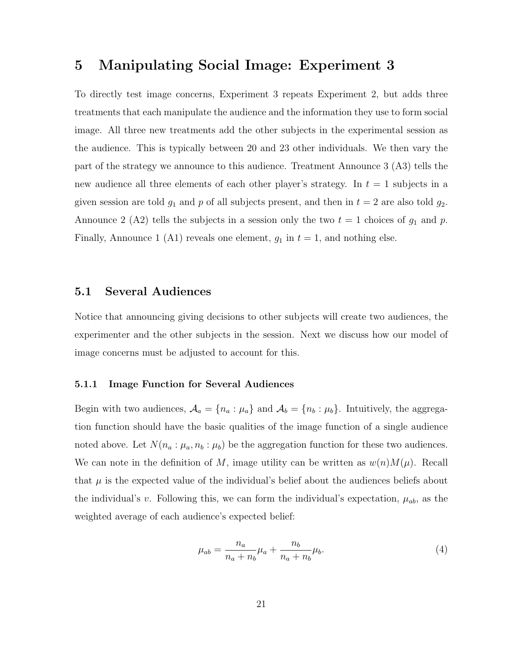## 5 Manipulating Social Image: Experiment 3

To directly test image concerns, Experiment 3 repeats Experiment 2, but adds three treatments that each manipulate the audience and the information they use to form social image. All three new treatments add the other subjects in the experimental session as the audience. This is typically between 20 and 23 other individuals. We then vary the part of the strategy we announce to this audience. Treatment Announce 3 (A3) tells the new audience all three elements of each other player's strategy. In  $t = 1$  subjects in a given session are told  $g_1$  and p of all subjects present, and then in  $t = 2$  are also told  $g_2$ . Announce 2 (A2) tells the subjects in a session only the two  $t = 1$  choices of  $g_1$  and p. Finally, Announce 1 (A1) reveals one element,  $g_1$  in  $t = 1$ , and nothing else.

## 5.1 Several Audiences

Notice that announcing giving decisions to other subjects will create two audiences, the experimenter and the other subjects in the session. Next we discuss how our model of image concerns must be adjusted to account for this.

#### 5.1.1 Image Function for Several Audiences

Begin with two audiences,  $A_a = \{n_a : \mu_a\}$  and  $A_b = \{n_b : \mu_b\}$ . Intuitively, the aggregation function should have the basic qualities of the image function of a single audience noted above. Let  $N(n_a : \mu_a, n_b : \mu_b)$  be the aggregation function for these two audiences. We can note in the definition of M, image utility can be written as  $w(n)M(\mu)$ . Recall that  $\mu$  is the expected value of the individual's belief about the audiences beliefs about the individual's v. Following this, we can form the individual's expectation,  $\mu_{ab}$ , as the weighted average of each audience's expected belief:

$$
\mu_{ab} = \frac{n_a}{n_a + n_b} \mu_a + \frac{n_b}{n_a + n_b} \mu_b.
$$
\n(4)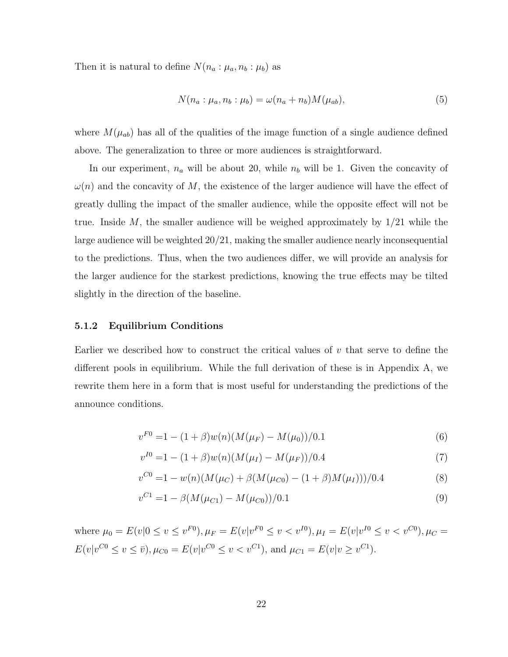Then it is natural to define  $N(n_a: \mu_a, n_b: \mu_b)$  as

$$
N(n_a: \mu_a, n_b: \mu_b) = \omega(n_a + n_b)M(\mu_{ab}),\tag{5}
$$

where  $M(\mu_{ab})$  has all of the qualities of the image function of a single audience defined above. The generalization to three or more audiences is straightforward.

In our experiment,  $n_a$  will be about 20, while  $n_b$  will be 1. Given the concavity of  $\omega(n)$  and the concavity of M, the existence of the larger audience will have the effect of greatly dulling the impact of the smaller audience, while the opposite effect will not be true. Inside M, the smaller audience will be weighed approximately by  $1/21$  while the large audience will be weighted 20/21, making the smaller audience nearly inconsequential to the predictions. Thus, when the two audiences differ, we will provide an analysis for the larger audience for the starkest predictions, knowing the true effects may be tilted slightly in the direction of the baseline.

#### 5.1.2 Equilibrium Conditions

Earlier we described how to construct the critical values of  $v$  that serve to define the different pools in equilibrium. While the full derivation of these is in Appendix A, we rewrite them here in a form that is most useful for understanding the predictions of the announce conditions.

$$
v^{F0} = 1 - (1 + \beta)w(n)(M(\mu_F) - M(\mu_0))/0.1
$$
\n(6)

$$
v^{I0} = 1 - (1 + \beta)w(n)(M(\mu_I) - M(\mu_F))/0.4
$$
\n(7)

$$
v^{C0} = 1 - w(n)(M(\mu_C) + \beta(M(\mu_{C0}) - (1+\beta)M(\mu_I)))/0.4
$$
\n(8)

$$
v^{C1} = 1 - \beta (M(\mu_{C1}) - M(\mu_{C0}))/0.1
$$
\n(9)

where  $\mu_0 = E(v|0 \le v \le v^{F0}), \mu_F = E(v|v^{F0} \le v < v^{I0}), \mu_I = E(v|v^{I0} \le v < v^{C0}), \mu_C =$  $E(v|v^{C0} \le v \le \bar{v}), \mu_{C0} = E(v|v^{C0} \le v < v^{C1}), \text{ and } \mu_{C1} = E(v|v \ge v^{C1}).$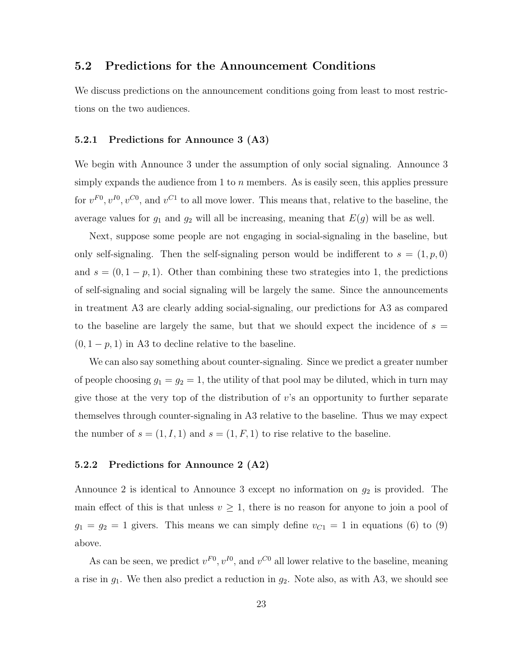## 5.2 Predictions for the Announcement Conditions

We discuss predictions on the announcement conditions going from least to most restrictions on the two audiences.

#### 5.2.1 Predictions for Announce 3 (A3)

We begin with Announce 3 under the assumption of only social signaling. Announce 3 simply expands the audience from 1 to  $n$  members. As is easily seen, this applies pressure for  $v^{F0}$ ,  $v^{I0}$ ,  $v^{C0}$ , and  $v^{C1}$  to all move lower. This means that, relative to the baseline, the average values for  $g_1$  and  $g_2$  will all be increasing, meaning that  $E(g)$  will be as well.

Next, suppose some people are not engaging in social-signaling in the baseline, but only self-signaling. Then the self-signaling person would be indifferent to  $s = (1, p, 0)$ and  $s = (0, 1 - p, 1)$ . Other than combining these two strategies into 1, the predictions of self-signaling and social signaling will be largely the same. Since the announcements in treatment A3 are clearly adding social-signaling, our predictions for A3 as compared to the baseline are largely the same, but that we should expect the incidence of  $s =$  $(0, 1-p, 1)$  in A3 to decline relative to the baseline.

We can also say something about counter-signaling. Since we predict a greater number of people choosing  $g_1 = g_2 = 1$ , the utility of that pool may be diluted, which in turn may give those at the very top of the distribution of  $v$ 's an opportunity to further separate themselves through counter-signaling in A3 relative to the baseline. Thus we may expect the number of  $s = (1, I, 1)$  and  $s = (1, F, 1)$  to rise relative to the baseline.

#### 5.2.2 Predictions for Announce 2 (A2)

Announce 2 is identical to Announce 3 except no information on  $g_2$  is provided. The main effect of this is that unless  $v \geq 1$ , there is no reason for anyone to join a pool of  $g_1 = g_2 = 1$  givers. This means we can simply define  $v_{C1} = 1$  in equations (6) to (9) above.

As can be seen, we predict  $v^{F0}$ ,  $v^{I0}$ , and  $v^{C0}$  all lower relative to the baseline, meaning a rise in  $g_1$ . We then also predict a reduction in  $g_2$ . Note also, as with A3, we should see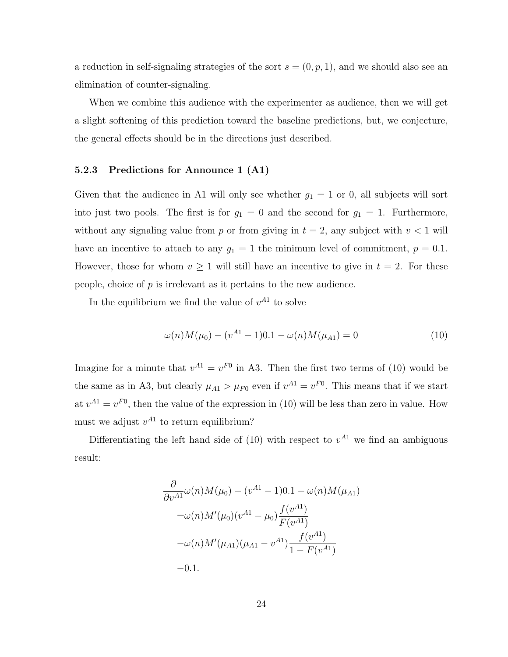a reduction in self-signaling strategies of the sort  $s = (0, p, 1)$ , and we should also see an elimination of counter-signaling.

When we combine this audience with the experimenter as audience, then we will get a slight softening of this prediction toward the baseline predictions, but, we conjecture, the general effects should be in the directions just described.

#### 5.2.3 Predictions for Announce 1 (A1)

Given that the audience in A1 will only see whether  $g_1 = 1$  or 0, all subjects will sort into just two pools. The first is for  $g_1 = 0$  and the second for  $g_1 = 1$ . Furthermore, without any signaling value from p or from giving in  $t = 2$ , any subject with  $v < 1$  will have an incentive to attach to any  $g_1 = 1$  the minimum level of commitment,  $p = 0.1$ . However, those for whom  $v \geq 1$  will still have an incentive to give in  $t = 2$ . For these people, choice of  $p$  is irrelevant as it pertains to the new audience.

In the equilibrium we find the value of  $v^{A1}$  to solve

$$
\omega(n)M(\mu_0) - (v^{A1} - 1)0.1 - \omega(n)M(\mu_{A1}) = 0 \tag{10}
$$

Imagine for a minute that  $v^{A1} = v^{F0}$  in A3. Then the first two terms of (10) would be the same as in A3, but clearly  $\mu_{A1} > \mu_{F0}$  even if  $v^{A1} = v^{F0}$ . This means that if we start at  $v^{A1} = v^{F0}$ , then the value of the expression in (10) will be less than zero in value. How must we adjust  $v^{A1}$  to return equilibrium?

Differentiating the left hand side of (10) with respect to  $v^{A1}$  we find an ambiguous result:

$$
\frac{\partial}{\partial v^{A1}}\omega(n)M(\mu_0) - (v^{A1} - 1)0.1 - \omega(n)M(\mu_{A1})
$$
  
=  $\omega(n)M'(\mu_0)(v^{A1} - \mu_0) \frac{f(v^{A1})}{F(v^{A1})}$   
 $-\omega(n)M'(\mu_{A1})(\mu_{A1} - v^{A1}) \frac{f(v^{A1})}{1 - F(v^{A1})}$   
-0.1.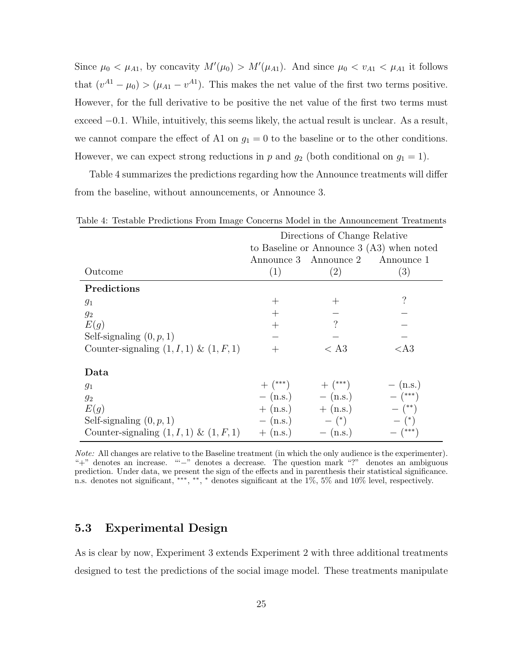Since  $\mu_0 < \mu_{A1}$ , by concavity  $M'(\mu_0) > M'(\mu_{A1})$ . And since  $\mu_0 < v_{A1} < \mu_{A1}$  it follows that  $(v^{A1} - \mu_0) > (\mu_{A1} - v^{A1})$ . This makes the net value of the first two terms positive. However, for the full derivative to be positive the net value of the first two terms must exceed −0.1. While, intuitively, this seems likely, the actual result is unclear. As a result, we cannot compare the effect of A1 on  $g_1 = 0$  to the baseline or to the other conditions. However, we can expect strong reductions in p and  $g_2$  (both conditional on  $g_1 = 1$ ).

Table 4 summarizes the predictions regarding how the Announce treatments will differ from the baseline, without announcements, or Announce 3.

|                                             | Directions of Change Relative              |                       |                                  |
|---------------------------------------------|--------------------------------------------|-----------------------|----------------------------------|
|                                             | to Baseline or Announce $3(A3)$ when noted |                       |                                  |
|                                             |                                            |                       | Announce 3 Announce 2 Announce 1 |
| Outcome                                     | (1)                                        | (2)                   | (3)                              |
| Predictions                                 |                                            |                       |                                  |
| $g_1$                                       | $^+$                                       | $\pm$                 | ?                                |
| $g_2$                                       | $^{+}$                                     |                       |                                  |
| E(g)                                        | $^{+}$                                     | $\ddot{?}$            |                                  |
| Self-signaling $(0, p, 1)$                  |                                            |                       |                                  |
| Counter-signaling $(1, I, 1)$ & $(1, F, 1)$ | $^{+}$                                     | $<$ A3                | $<$ A3                           |
| Data                                        |                                            |                       |                                  |
| $g_1$                                       | $+$ $(***)$                                | $+$ $(***)$           | $-$ (n.s.)                       |
| $g_2$                                       |                                            | $-$ (n.s.) $-$ (n.s.) | $ (***)$                         |
| E(g)                                        |                                            | $+$ (n.s.) $+$ (n.s.) | $ (**)$                          |
| Self-signaling $(0, p, 1)$                  | $-$ (n.s.)                                 | $ (*)$                | $ (*)$                           |
| Counter-signaling $(1, I, 1)$ & $(1, F, 1)$ | $+$ (n.s.)                                 | $-$ (n.s.)            | $ (***)$                         |

Table 4: Testable Predictions From Image Concerns Model in the Announcement Treatments

Note: All changes are relative to the Baseline treatment (in which the only audience is the experimenter). "+" denotes an increase. "'−" denotes a decrease. The question mark "?" denotes an ambiguous prediction. Under data, we present the sign of the effects and in parenthesis their statistical significance. n.s. denotes not significant, \*\*\*, \*\*, \* denotes significant at the 1%, 5% and 10% level, respectively.

## 5.3 Experimental Design

As is clear by now, Experiment 3 extends Experiment 2 with three additional treatments designed to test the predictions of the social image model. These treatments manipulate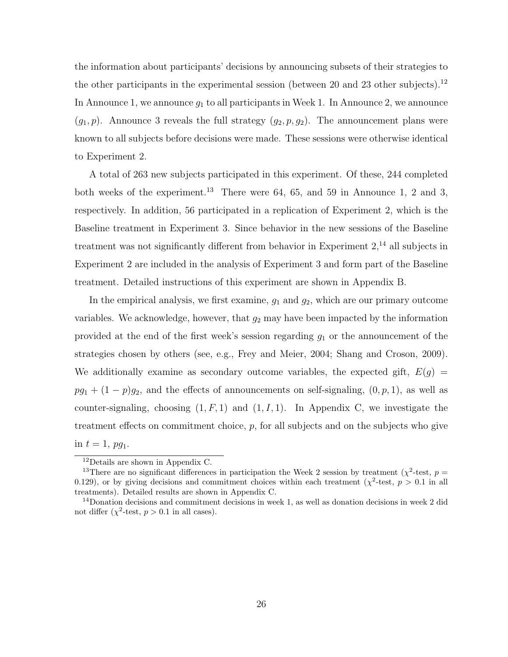the information about participants' decisions by announcing subsets of their strategies to the other participants in the experimental session (between 20 and 23 other subjects).<sup>12</sup> In Announce 1, we announce  $g_1$  to all participants in Week 1. In Announce 2, we announce  $(g_1, p)$ . Announce 3 reveals the full strategy  $(g_2, p, g_2)$ . The announcement plans were known to all subjects before decisions were made. These sessions were otherwise identical to Experiment 2.

A total of 263 new subjects participated in this experiment. Of these, 244 completed both weeks of the experiment.<sup>13</sup> There were 64, 65, and 59 in Announce 1, 2 and 3, respectively. In addition, 56 participated in a replication of Experiment 2, which is the Baseline treatment in Experiment 3. Since behavior in the new sessions of the Baseline treatment was not significantly different from behavior in Experiment  $2<sup>14</sup>$  all subjects in Experiment 2 are included in the analysis of Experiment 3 and form part of the Baseline treatment. Detailed instructions of this experiment are shown in Appendix B.

In the empirical analysis, we first examine,  $g_1$  and  $g_2$ , which are our primary outcome variables. We acknowledge, however, that  $g_2$  may have been impacted by the information provided at the end of the first week's session regarding  $g_1$  or the announcement of the strategies chosen by others (see, e.g., Frey and Meier, 2004; Shang and Croson, 2009). We additionally examine as secondary outcome variables, the expected gift,  $E(g)$  =  $pg_1 + (1-p)g_2$ , and the effects of announcements on self-signaling,  $(0, p, 1)$ , as well as counter-signaling, choosing  $(1, F, 1)$  and  $(1, I, 1)$ . In Appendix C, we investigate the treatment effects on commitment choice,  $p$ , for all subjects and on the subjects who give in  $t = 1$ ,  $pg_1$ .

<sup>12</sup>Details are shown in Appendix C.

<sup>&</sup>lt;sup>13</sup>There are no significant differences in participation the Week 2 session by treatment ( $\chi^2$ -test,  $p =$ 0.129), or by giving decisions and commitment choices within each treatment ( $\chi^2$ -test,  $p > 0.1$  in all treatments). Detailed results are shown in Appendix C.

 $14$ Donation decisions and commitment decisions in week 1, as well as donation decisions in week 2 did not differ  $(\chi^2$ -test,  $p > 0.1$  in all cases).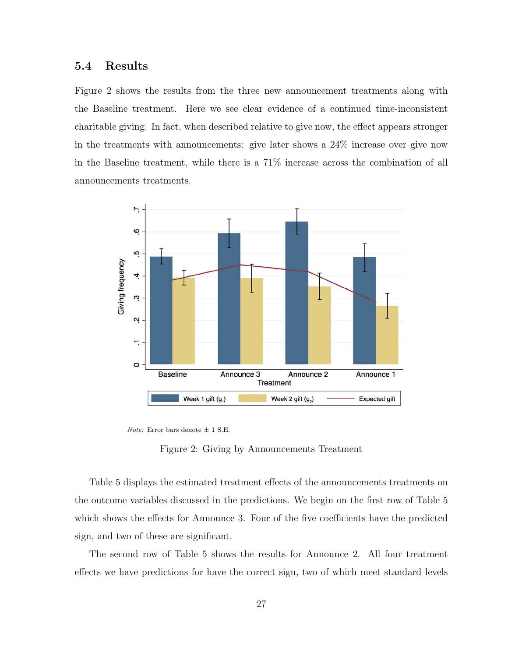### 5.4 Results

Figure 2 shows the results from the three new announcement treatments along with the Baseline treatment. Here we see clear evidence of a continued time-inconsistent charitable giving. In fact, when described relative to give now, the effect appears stronger in the treatments with announcements: give later shows a 24% increase over give now in the Baseline treatment, while there is a 71% increase across the combination of all announcements treatments.



*Note:* Error bars denote  $\pm$  1 S.E.

Figure 2: Giving by Announcements Treatment

Table 5 displays the estimated treatment effects of the announcements treatments on the outcome variables discussed in the predictions. We begin on the first row of Table 5 which shows the effects for Announce 3. Four of the five coefficients have the predicted sign, and two of these are significant.

The second row of Table 5 shows the results for Announce 2. All four treatment effects we have predictions for have the correct sign, two of which meet standard levels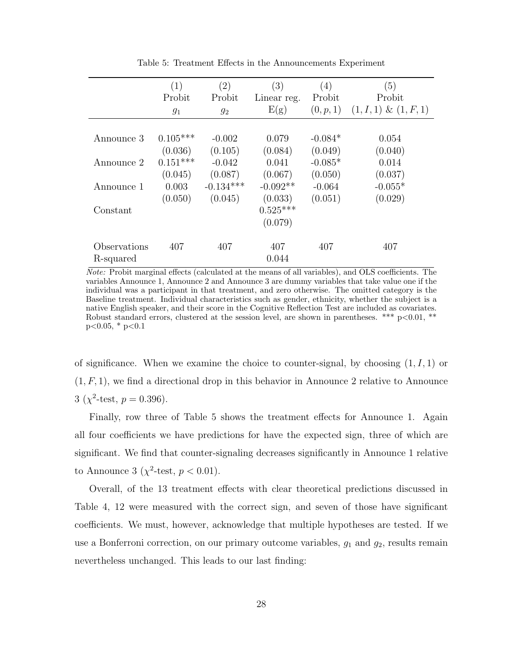|              | (1)        | $\left( 2\right)$ | (3)         | $\left( 4\right)$ | (5)                      |
|--------------|------------|-------------------|-------------|-------------------|--------------------------|
|              | Probit     | Probit            | Linear reg. | Probit            | Probit                   |
|              | $g_1$      | $g_2$             | E(g)        | (0, p, 1)         | $(1, I, 1) \& (1, F, 1)$ |
|              |            |                   |             |                   |                          |
| Announce 3   | $0.105***$ | $-0.002$          | 0.079       | $-0.084*$         | 0.054                    |
|              | (0.036)    | (0.105)           | (0.084)     | (0.049)           | (0.040)                  |
| Announce 2   | $0.151***$ | $-0.042$          | 0.041       | $-0.085*$         | 0.014                    |
|              | (0.045)    | (0.087)           | (0.067)     | (0.050)           | (0.037)                  |
| Announce 1   | 0.003      | $-0.134***$       | $-0.092**$  | $-0.064$          | $-0.055*$                |
|              | (0.050)    | (0.045)           | (0.033)     | (0.051)           | (0.029)                  |
| Constant     |            |                   | $0.525***$  |                   |                          |
|              |            |                   | (0.079)     |                   |                          |
| Observations | 407        | 407               | 407         | 407               | 407                      |
| R-squared    |            |                   | 0.044       |                   |                          |

Table 5: Treatment Effects in the Announcements Experiment

Note: Probit marginal effects (calculated at the means of all variables), and OLS coefficients. The variables Announce 1, Announce 2 and Announce 3 are dummy variables that take value one if the individual was a participant in that treatment, and zero otherwise. The omitted category is the Baseline treatment. Individual characteristics such as gender, ethnicity, whether the subject is a native English speaker, and their score in the Cognitive Reflection Test are included as covariates. Robust standard errors, clustered at the session level, are shown in parentheses. \*\*\*  $p<0.01$ , \*\*  $p<0.05$ , \*  $p<0.1$ 

of significance. When we examine the choice to counter-signal, by choosing  $(1, I, 1)$  or  $(1, F, 1)$ , we find a directional drop in this behavior in Announce 2 relative to Announce  $3 \ (\chi^2\text{-test},\ p = 0.396).$ 

Finally, row three of Table 5 shows the treatment effects for Announce 1. Again all four coefficients we have predictions for have the expected sign, three of which are significant. We find that counter-signaling decreases significantly in Announce 1 relative to Announce 3 ( $\chi^2$ -test,  $p < 0.01$ ).

Overall, of the 13 treatment effects with clear theoretical predictions discussed in Table 4, 12 were measured with the correct sign, and seven of those have significant coefficients. We must, however, acknowledge that multiple hypotheses are tested. If we use a Bonferroni correction, on our primary outcome variables,  $g_1$  and  $g_2$ , results remain nevertheless unchanged. This leads to our last finding: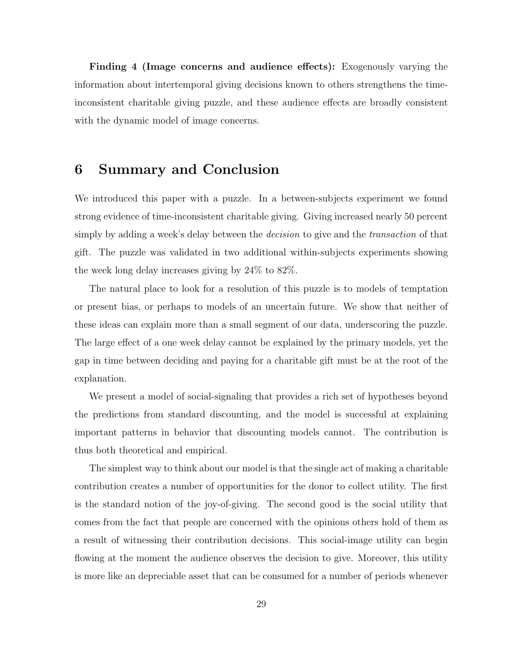Finding 4 (Image concerns and audience effects): Exogenously varying the information about intertemporal giving decisions known to others strengthens the timeinconsistent charitable giving puzzle, and these audience effects are broadly consistent with the dynamic model of image concerns.

## 6 Summary and Conclusion

We introduced this paper with a puzzle. In a between-subjects experiment we found strong evidence of time-inconsistent charitable giving. Giving increased nearly 50 percent simply by adding a week's delay between the *decision* to give and the *transaction* of that gift. The puzzle was validated in two additional within-subjects experiments showing the week long delay increases giving by 24% to 82%.

The natural place to look for a resolution of this puzzle is to models of temptation or present bias, or perhaps to models of an uncertain future. We show that neither of these ideas can explain more than a small segment of our data, underscoring the puzzle. The large effect of a one week delay cannot be explained by the primary models, yet the gap in time between deciding and paying for a charitable gift must be at the root of the explanation.

We present a model of social-signaling that provides a rich set of hypotheses beyond the predictions from standard discounting, and the model is successful at explaining important patterns in behavior that discounting models cannot. The contribution is thus both theoretical and empirical.

The simplest way to think about our model is that the single act of making a charitable contribution creates a number of opportunities for the donor to collect utility. The first is the standard notion of the joy-of-giving. The second good is the social utility that comes from the fact that people are concerned with the opinions others hold of them as a result of witnessing their contribution decisions. This social-image utility can begin flowing at the moment the audience observes the decision to give. Moreover, this utility is more like an depreciable asset that can be consumed for a number of periods whenever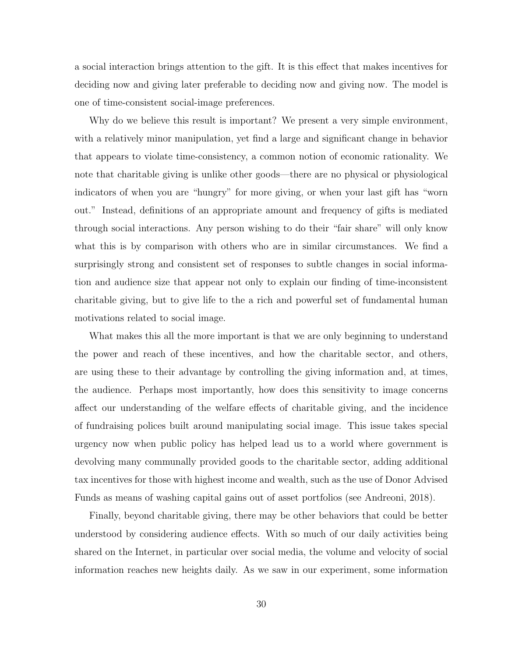a social interaction brings attention to the gift. It is this effect that makes incentives for deciding now and giving later preferable to deciding now and giving now. The model is one of time-consistent social-image preferences.

Why do we believe this result is important? We present a very simple environment, with a relatively minor manipulation, yet find a large and significant change in behavior that appears to violate time-consistency, a common notion of economic rationality. We note that charitable giving is unlike other goods—there are no physical or physiological indicators of when you are "hungry" for more giving, or when your last gift has "worn out." Instead, definitions of an appropriate amount and frequency of gifts is mediated through social interactions. Any person wishing to do their "fair share" will only know what this is by comparison with others who are in similar circumstances. We find a surprisingly strong and consistent set of responses to subtle changes in social information and audience size that appear not only to explain our finding of time-inconsistent charitable giving, but to give life to the a rich and powerful set of fundamental human motivations related to social image.

What makes this all the more important is that we are only beginning to understand the power and reach of these incentives, and how the charitable sector, and others, are using these to their advantage by controlling the giving information and, at times, the audience. Perhaps most importantly, how does this sensitivity to image concerns affect our understanding of the welfare effects of charitable giving, and the incidence of fundraising polices built around manipulating social image. This issue takes special urgency now when public policy has helped lead us to a world where government is devolving many communally provided goods to the charitable sector, adding additional tax incentives for those with highest income and wealth, such as the use of Donor Advised Funds as means of washing capital gains out of asset portfolios (see Andreoni, 2018).

Finally, beyond charitable giving, there may be other behaviors that could be better understood by considering audience effects. With so much of our daily activities being shared on the Internet, in particular over social media, the volume and velocity of social information reaches new heights daily. As we saw in our experiment, some information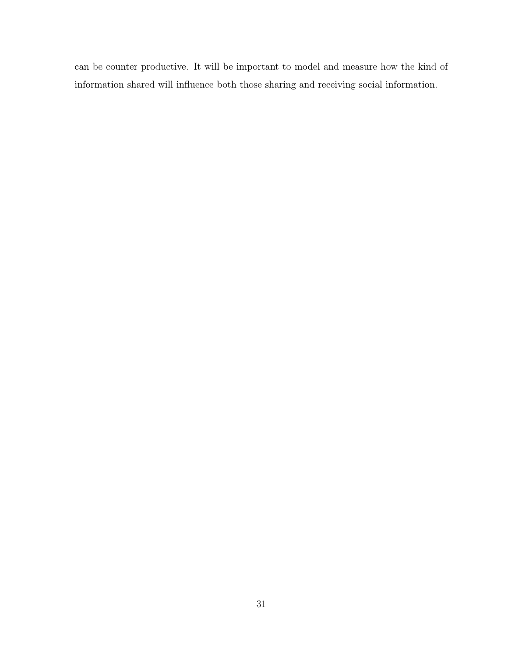can be counter productive. It will be important to model and measure how the kind of information shared will influence both those sharing and receiving social information.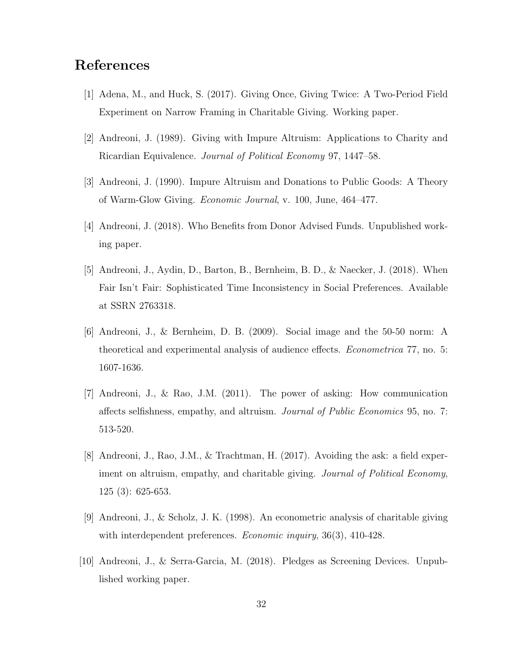## References

- [1] Adena, M., and Huck, S. (2017). Giving Once, Giving Twice: A Two-Period Field Experiment on Narrow Framing in Charitable Giving. Working paper.
- [2] Andreoni, J. (1989). Giving with Impure Altruism: Applications to Charity and Ricardian Equivalence. Journal of Political Economy 97, 1447–58.
- [3] Andreoni, J. (1990). Impure Altruism and Donations to Public Goods: A Theory of Warm-Glow Giving. Economic Journal, v. 100, June, 464–477.
- [4] Andreoni, J. (2018). Who Benefits from Donor Advised Funds. Unpublished working paper.
- [5] Andreoni, J., Aydin, D., Barton, B., Bernheim, B. D., & Naecker, J. (2018). When Fair Isn't Fair: Sophisticated Time Inconsistency in Social Preferences. Available at SSRN 2763318.
- [6] Andreoni, J., & Bernheim, D. B. (2009). Social image and the 50-50 norm: A theoretical and experimental analysis of audience effects. Econometrica 77, no. 5: 1607-1636.
- [7] Andreoni, J., & Rao, J.M. (2011). The power of asking: How communication affects selfishness, empathy, and altruism. Journal of Public Economics 95, no. 7: 513-520.
- [8] Andreoni, J., Rao, J.M., & Trachtman, H. (2017). Avoiding the ask: a field experiment on altruism, empathy, and charitable giving. Journal of Political Economy, 125 (3): 625-653.
- [9] Andreoni, J., & Scholz, J. K. (1998). An econometric analysis of charitable giving with interdependent preferences. *Economic inquiry*, 36(3), 410-428.
- [10] Andreoni, J., & Serra-Garcia, M. (2018). Pledges as Screening Devices. Unpublished working paper.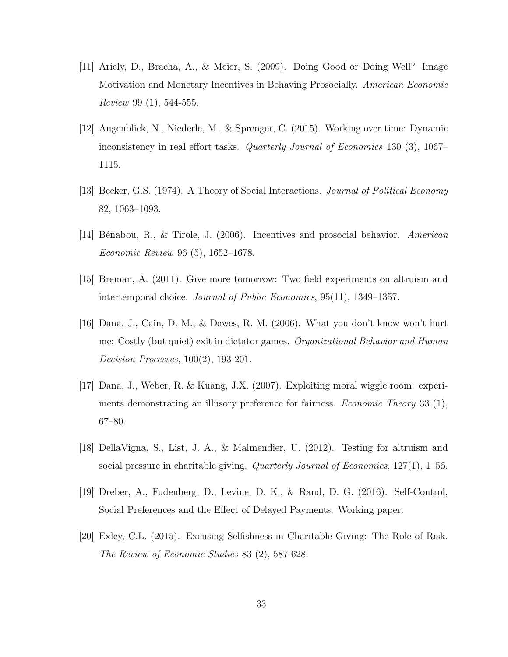- [11] Ariely, D., Bracha, A., & Meier, S. (2009). Doing Good or Doing Well? Image Motivation and Monetary Incentives in Behaving Prosocially. American Economic Review 99 (1), 544-555.
- [12] Augenblick, N., Niederle, M., & Sprenger, C. (2015). Working over time: Dynamic inconsistency in real effort tasks. Quarterly Journal of Economics 130 (3), 1067– 1115.
- [13] Becker, G.S. (1974). A Theory of Social Interactions. Journal of Political Economy 82, 1063–1093.
- [14] Bénabou, R., & Tirole, J. (2006). Incentives and prosocial behavior. American Economic Review 96 (5), 1652–1678.
- [15] Breman, A. (2011). Give more tomorrow: Two field experiments on altruism and intertemporal choice. Journal of Public Economics, 95(11), 1349–1357.
- [16] Dana, J., Cain, D. M., & Dawes, R. M. (2006). What you don't know won't hurt me: Costly (but quiet) exit in dictator games. Organizational Behavior and Human Decision Processes, 100(2), 193-201.
- [17] Dana, J., Weber, R. & Kuang, J.X. (2007). Exploiting moral wiggle room: experiments demonstrating an illusory preference for fairness. Economic Theory 33 (1), 67–80.
- [18] DellaVigna, S., List, J. A., & Malmendier, U. (2012). Testing for altruism and social pressure in charitable giving. Quarterly Journal of Economics, 127(1), 1–56.
- [19] Dreber, A., Fudenberg, D., Levine, D. K., & Rand, D. G. (2016). Self-Control, Social Preferences and the Effect of Delayed Payments. Working paper.
- [20] Exley, C.L. (2015). Excusing Selfishness in Charitable Giving: The Role of Risk. The Review of Economic Studies 83 (2), 587-628.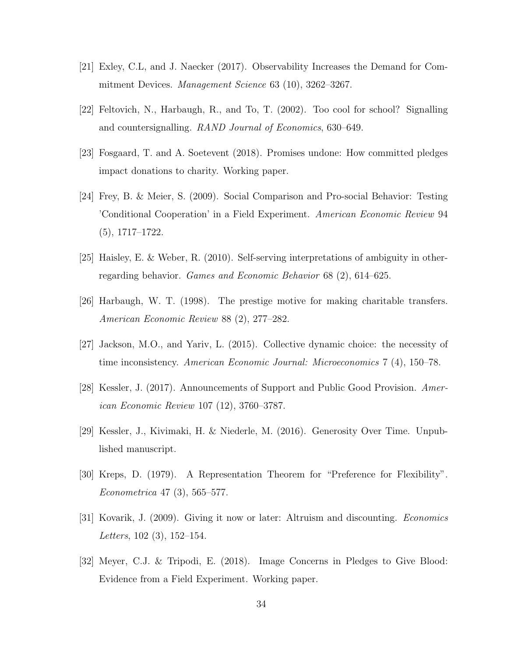- [21] Exley, C.L, and J. Naecker (2017). Observability Increases the Demand for Commitment Devices. *Management Science* 63 (10), 3262–3267.
- [22] Feltovich, N., Harbaugh, R., and To, T. (2002). Too cool for school? Signalling and countersignalling. RAND Journal of Economics, 630–649.
- [23] Fosgaard, T. and A. Soetevent (2018). Promises undone: How committed pledges impact donations to charity. Working paper.
- [24] Frey, B. & Meier, S. (2009). Social Comparison and Pro-social Behavior: Testing 'Conditional Cooperation' in a Field Experiment. American Economic Review 94 (5), 1717–1722.
- [25] Haisley, E. & Weber, R. (2010). Self-serving interpretations of ambiguity in otherregarding behavior. Games and Economic Behavior 68 (2), 614–625.
- [26] Harbaugh, W. T. (1998). The prestige motive for making charitable transfers. American Economic Review 88 (2), 277–282.
- [27] Jackson, M.O., and Yariv, L. (2015). Collective dynamic choice: the necessity of time inconsistency. American Economic Journal: Microeconomics 7 (4), 150–78.
- [28] Kessler, J. (2017). Announcements of Support and Public Good Provision. American Economic Review 107 (12), 3760–3787.
- [29] Kessler, J., Kivimaki, H. & Niederle, M. (2016). Generosity Over Time. Unpublished manuscript.
- [30] Kreps, D. (1979). A Representation Theorem for "Preference for Flexibility". Econometrica 47 (3), 565–577.
- [31] Kovarik, J. (2009). Giving it now or later: Altruism and discounting. Economics *Letters*,  $102$  (3),  $152-154$ .
- [32] Meyer, C.J. & Tripodi, E. (2018). Image Concerns in Pledges to Give Blood: Evidence from a Field Experiment. Working paper.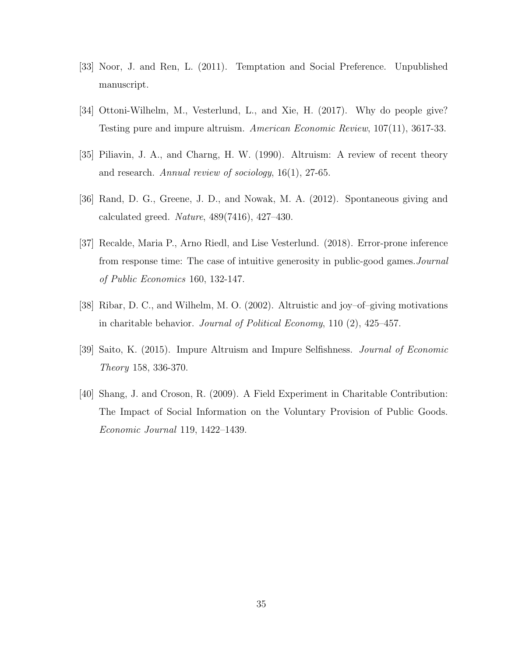- [33] Noor, J. and Ren, L. (2011). Temptation and Social Preference. Unpublished manuscript.
- [34] Ottoni-Wilhelm, M., Vesterlund, L., and Xie, H. (2017). Why do people give? Testing pure and impure altruism. American Economic Review, 107(11), 3617-33.
- [35] Piliavin, J. A., and Charng, H. W. (1990). Altruism: A review of recent theory and research. Annual review of sociology, 16(1), 27-65.
- [36] Rand, D. G., Greene, J. D., and Nowak, M. A. (2012). Spontaneous giving and calculated greed. *Nature*,  $489(7416)$ ,  $427-430$ .
- [37] Recalde, Maria P., Arno Riedl, and Lise Vesterlund. (2018). Error-prone inference from response time: The case of intuitive generosity in public-good games.Journal of Public Economics 160, 132-147.
- [38] Ribar, D. C., and Wilhelm, M. O. (2002). Altruistic and joy–of–giving motivations in charitable behavior. Journal of Political Economy, 110 (2), 425–457.
- [39] Saito, K. (2015). Impure Altruism and Impure Selfishness. Journal of Economic Theory 158, 336-370.
- [40] Shang, J. and Croson, R. (2009). A Field Experiment in Charitable Contribution: The Impact of Social Information on the Voluntary Provision of Public Goods. Economic Journal 119, 1422–1439.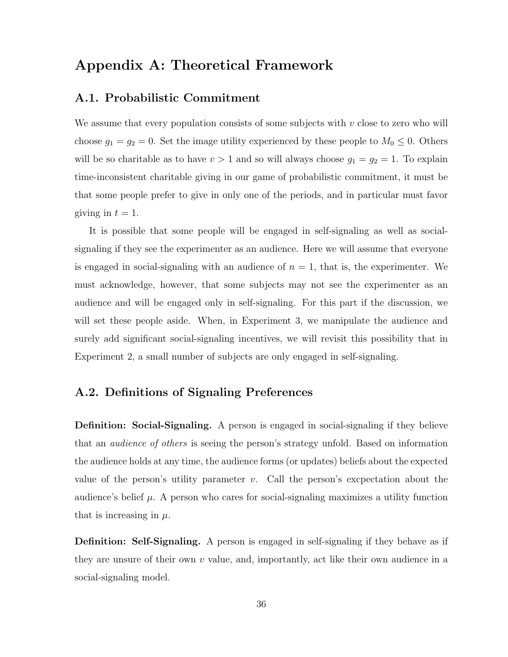## Appendix A: Theoretical Framework

## A.1. Probabilistic Commitment

We assume that every population consists of some subjects with  $v$  close to zero who will choose  $g_1 = g_2 = 0$ . Set the image utility experienced by these people to  $M_0 \leq 0$ . Others will be so charitable as to have  $v > 1$  and so will always choose  $g_1 = g_2 = 1$ . To explain time-inconsistent charitable giving in our game of probabilistic commitment, it must be that some people prefer to give in only one of the periods, and in particular must favor giving in  $t = 1$ .

It is possible that some people will be engaged in self-signaling as well as socialsignaling if they see the experimenter as an audience. Here we will assume that everyone is engaged in social-signaling with an audience of  $n = 1$ , that is, the experimenter. We must acknowledge, however, that some subjects may not see the experimenter as an audience and will be engaged only in self-signaling. For this part if the discussion, we will set these people aside. When, in Experiment 3, we manipulate the audience and surely add significant social-signaling incentives, we will revisit this possibility that in Experiment 2, a small number of subjects are only engaged in self-signaling.

## A.2. Definitions of Signaling Preferences

Definition: Social-Signaling. A person is engaged in social-signaling if they believe that an *audience of others* is seeing the person's strategy unfold. Based on information the audience holds at any time, the audience forms (or updates) beliefs about the expected value of the person's utility parameter  $v$ . Call the person's excpectation about the audience's belief  $\mu$ . A person who cares for social-signaling maximizes a utility function that is increasing in  $\mu$ .

**Definition: Self-Signaling.** A person is engaged in self-signaling if they behave as if they are unsure of their own  $v$  value, and, importantly, act like their own audience in a social-signaling model.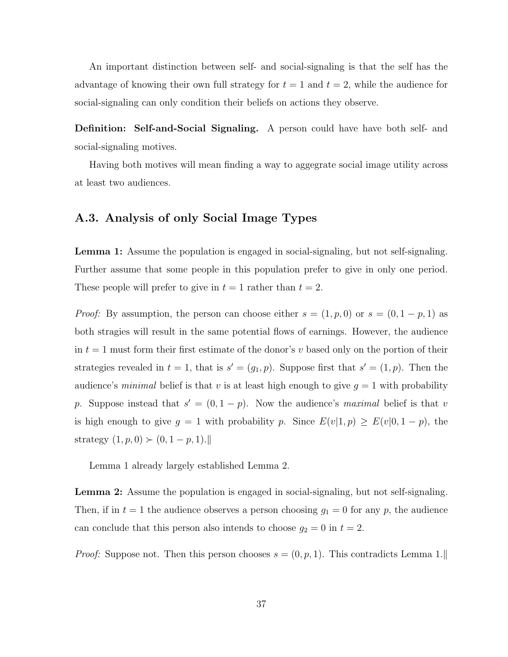An important distinction between self- and social-signaling is that the self has the advantage of knowing their own full strategy for  $t = 1$  and  $t = 2$ , while the audience for social-signaling can only condition their beliefs on actions they observe.

Definition: Self-and-Social Signaling. A person could have have both self- and social-signaling motives.

Having both motives will mean finding a way to aggegrate social image utility across at least two audiences.

## A.3. Analysis of only Social Image Types

Lemma 1: Assume the population is engaged in social-signaling, but not self-signaling. Further assume that some people in this population prefer to give in only one period. These people will prefer to give in  $t = 1$  rather than  $t = 2$ .

*Proof:* By assumption, the person can choose either  $s = (1, p, 0)$  or  $s = (0, 1 - p, 1)$  as both stragies will result in the same potential flows of earnings. However, the audience in  $t = 1$  must form their first estimate of the donor's v based only on the portion of their strategies revealed in  $t = 1$ , that is  $s' = (g_1, p)$ . Suppose first that  $s' = (1, p)$ . Then the audience's *minimal* belief is that v is at least high enough to give  $g = 1$  with probability p. Suppose instead that  $s' = (0, 1 - p)$ . Now the audience's maximal belief is that v is high enough to give  $g = 1$  with probability p. Since  $E(v|1, p) \ge E(v|0, 1 - p)$ , the strategy  $(1, p, 0) \succ (0, 1 - p, 1). \parallel$ 

Lemma 1 already largely established Lemma 2.

Lemma 2: Assume the population is engaged in social-signaling, but not self-signaling. Then, if in  $t = 1$  the audience observes a person choosing  $g_1 = 0$  for any p, the audience can conclude that this person also intends to choose  $g_2 = 0$  in  $t = 2$ .

*Proof:* Suppose not. Then this person chooses  $s = (0, p, 1)$ . This contradicts Lemma 1.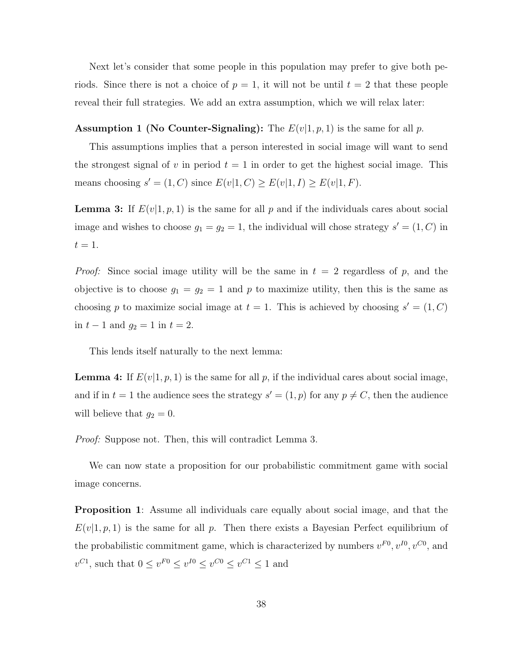Next let's consider that some people in this population may prefer to give both periods. Since there is not a choice of  $p = 1$ , it will not be until  $t = 2$  that these people reveal their full strategies. We add an extra assumption, which we will relax later:

#### **Assumption 1 (No Counter-Signaling):** The  $E(v|1, p, 1)$  is the same for all p.

This assumptions implies that a person interested in social image will want to send the strongest signal of v in period  $t = 1$  in order to get the highest social image. This means choosing  $s' = (1, C)$  since  $E(v|1, C) \ge E(v|1, I) \ge E(v|1, F)$ .

**Lemma 3:** If  $E(v|1, p, 1)$  is the same for all p and if the individuals cares about social image and wishes to choose  $g_1 = g_2 = 1$ , the individual will chose strategy  $s' = (1, C)$  in  $t=1.$ 

*Proof:* Since social image utility will be the same in  $t = 2$  regardless of p, and the objective is to choose  $g_1 = g_2 = 1$  and p to maximize utility, then this is the same as choosing p to maximize social image at  $t = 1$ . This is achieved by choosing  $s' = (1, C)$ in  $t - 1$  and  $g_2 = 1$  in  $t = 2$ .

This lends itself naturally to the next lemma:

**Lemma 4:** If  $E(v|1, p, 1)$  is the same for all p, if the individual cares about social image, and if in  $t = 1$  the audience sees the strategy  $s' = (1, p)$  for any  $p \neq C$ , then the audience will believe that  $g_2 = 0$ .

Proof: Suppose not. Then, this will contradict Lemma 3.

We can now state a proposition for our probabilistic commitment game with social image concerns.

Proposition 1: Assume all individuals care equally about social image, and that the  $E(v|1, p, 1)$  is the same for all p. Then there exists a Bayesian Perfect equilibrium of the probabilistic commitment game, which is characterized by numbers  $v^{F0}$ ,  $v^{I0}$ ,  $v^{C0}$ , and  $v^{C_1}$ , such that  $0 \le v^{F_0} \le v^{I_0} \le v^{C_0} \le v^{C_1} \le 1$  and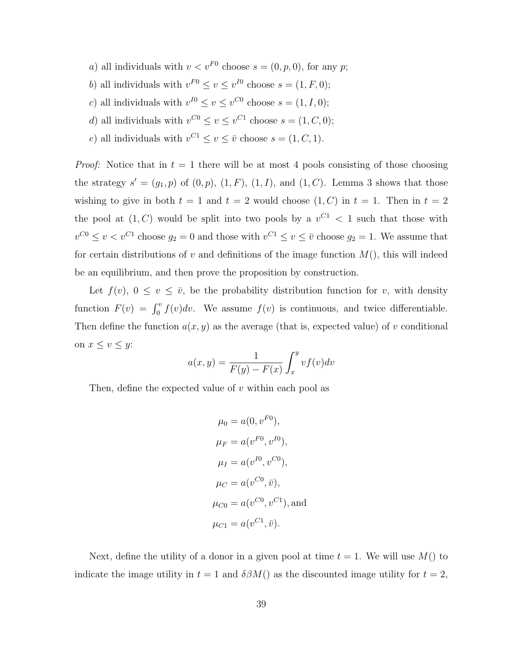- a) all individuals with  $v < v^{F0}$  choose  $s = (0, p, 0)$ , for any p;
- b) all individuals with  $v^{F0} \le v \le v^{I0}$  choose  $s = (1, F, 0);$
- c) all individuals with  $v^{I0} \le v \le v^{C0}$  choose  $s = (1, I, 0);$
- d) all individuals with  $v^{C0} \le v \le v^{C1}$  choose  $s = (1, C, 0);$
- e) all individuals with  $v^{C_1} \le v \le \overline{v}$  choose  $s = (1, C, 1)$ .

*Proof:* Notice that in  $t = 1$  there will be at most 4 pools consisting of those choosing the strategy  $s' = (g_1, p)$  of  $(0, p)$ ,  $(1, F)$ ,  $(1, I)$ , and  $(1, C)$ . Lemma 3 shows that those wishing to give in both  $t = 1$  and  $t = 2$  would choose  $(1, C)$  in  $t = 1$ . Then in  $t = 2$ the pool at  $(1, C)$  would be split into two pools by a  $v^{C_1} < 1$  such that those with  $v^{C0} \le v < v^{C1}$  choose  $g_2 = 0$  and those with  $v^{C1} \le v \le \overline{v}$  choose  $g_2 = 1$ . We assume that for certain distributions of v and definitions of the image function  $M()$ , this will indeed be an equilibrium, and then prove the proposition by construction.

Let  $f(v)$ ,  $0 \le v \le \overline{v}$ , be the probability distribution function for v, with density function  $F(v) = \int_0^v f(v)dv$ . We assume  $f(v)$  is continuous, and twice differentiable. Then define the function  $a(x, y)$  as the average (that is, expected value) of v conditional on  $x \leq v \leq y$ :

$$
a(x,y) = \frac{1}{F(y) - F(x)} \int_x^y v f(v) dv
$$

Then, define the expected value of  $v$  within each pool as

$$
\mu_0 = a(0, v^{F0}),
$$
  
\n
$$
\mu_F = a(v^{F0}, v^{I0}),
$$
  
\n
$$
\mu_I = a(v^{I0}, v^{C0}),
$$
  
\n
$$
\mu_C = a(v^{C0}, \bar{v}),
$$
  
\n
$$
\mu_{C0} = a(v^{C0}, v^{C1}),
$$
 and  
\n
$$
\mu_{C1} = a(v^{C1}, \bar{v}).
$$

Next, define the utility of a donor in a given pool at time  $t = 1$ . We will use  $M()$  to indicate the image utility in  $t = 1$  and  $\delta \beta M(t)$  as the discounted image utility for  $t = 2$ ,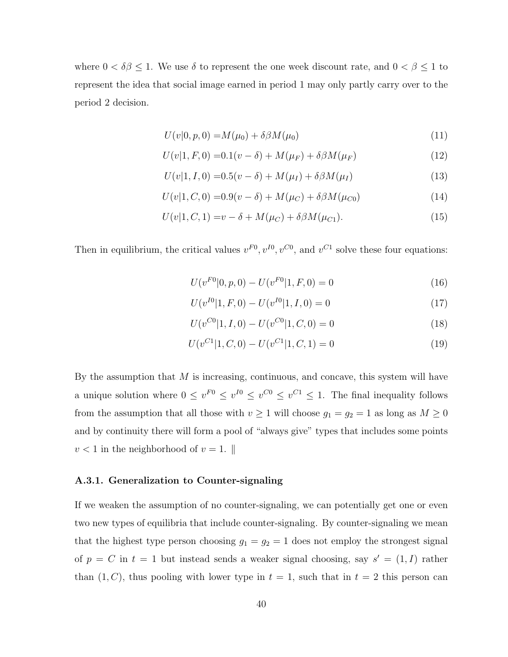where  $0 < \delta \beta \leq 1$ . We use  $\delta$  to represent the one week discount rate, and  $0 < \beta \leq 1$  to represent the idea that social image earned in period 1 may only partly carry over to the period 2 decision.

$$
U(v|0, p, 0) = M(\mu_0) + \delta \beta M(\mu_0)
$$
\n(11)

$$
U(v|1, F, 0) = 0.1(v - \delta) + M(\mu_F) + \delta \beta M(\mu_F)
$$
\n(12)

$$
U(v|1, I, 0) = 0.5(v - \delta) + M(\mu_I) + \delta \beta M(\mu_I)
$$
\n(13)

$$
U(v|1, C, 0) = 0.9(v - \delta) + M(\mu_C) + \delta \beta M(\mu_{C0})
$$
\n(14)

$$
U(v|1, C, 1) = v - \delta + M(\mu_C) + \delta \beta M(\mu_{C1}).
$$
\n(15)

Then in equilibrium, the critical values  $v^{F0}$ ,  $v^{I0}$ ,  $v^{C0}$ , and  $v^{C1}$  solve these four equations:

$$
U(v^{F0}|0, p, 0) - U(v^{F0}|1, F, 0) = 0
$$
\n(16)

$$
U(v^{I0}|1, F, 0) - U(v^{I0}|1, I, 0) = 0
$$
\n(17)

$$
U(v^{C0}|1, I, 0) - U(v^{C0}|1, C, 0) = 0
$$
\n(18)

$$
U(v^{C1}|1, C, 0) - U(v^{C1}|1, C, 1) = 0
$$
\n(19)

By the assumption that  $M$  is increasing, continuous, and concave, this system will have a unique solution where  $0 \le v^{F0} \le v^{G0} \le v^{C0} \le v^{C1} \le 1$ . The final inequality follows from the assumption that all those with  $v \ge 1$  will choose  $g_1 = g_2 = 1$  as long as  $M \ge 0$ and by continuity there will form a pool of "always give" types that includes some points  $v < 1$  in the neighborhood of  $v = 1$ .

#### A.3.1. Generalization to Counter-signaling

If we weaken the assumption of no counter-signaling, we can potentially get one or even two new types of equilibria that include counter-signaling. By counter-signaling we mean that the highest type person choosing  $g_1 = g_2 = 1$  does not employ the strongest signal of  $p = C$  in  $t = 1$  but instead sends a weaker signal choosing, say  $s' = (1, I)$  rather than  $(1, C)$ , thus pooling with lower type in  $t = 1$ , such that in  $t = 2$  this person can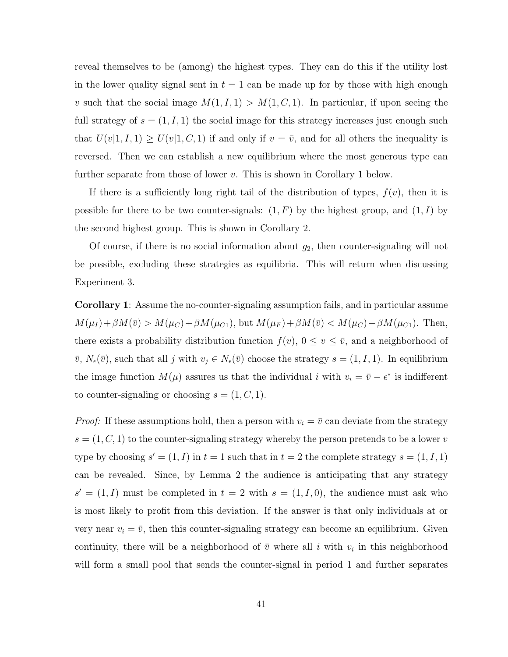reveal themselves to be (among) the highest types. They can do this if the utility lost in the lower quality signal sent in  $t = 1$  can be made up for by those with high enough v such that the social image  $M(1, I, 1) > M(1, C, 1)$ . In particular, if upon seeing the full strategy of  $s = (1, I, 1)$  the social image for this strategy increases just enough such that  $U(v|1, I, 1) \ge U(v|1, C, 1)$  if and only if  $v = \overline{v}$ , and for all others the inequality is reversed. Then we can establish a new equilibrium where the most generous type can further separate from those of lower  $v$ . This is shown in Corollary 1 below.

If there is a sufficiently long right tail of the distribution of types,  $f(v)$ , then it is possible for there to be two counter-signals:  $(1, F)$  by the highest group, and  $(1, I)$  by the second highest group. This is shown in Corollary 2.

Of course, if there is no social information about  $q_2$ , then counter-signaling will not be possible, excluding these strategies as equilibria. This will return when discussing Experiment 3.

Corollary 1: Assume the no-counter-signaling assumption fails, and in particular assume  $M(\mu_I) + \beta M(\bar{v}) > M(\mu_C) + \beta M(\mu_{C1}),$  but  $M(\mu_F) + \beta M(\bar{v}) < M(\mu_C) + \beta M(\mu_{C1}).$  Then, there exists a probability distribution function  $f(v)$ ,  $0 \le v \le \overline{v}$ , and a neighborhood of  $\bar{v}, N_{\epsilon}(\bar{v})$ , such that all j with  $v_j \in N_{\epsilon}(\bar{v})$  choose the strategy  $s = (1, I, 1)$ . In equilibrium the image function  $M(\mu)$  assures us that the individual i with  $v_i = \bar{v} - \epsilon^*$  is indifferent to counter-signaling or choosing  $s = (1, C, 1)$ .

*Proof:* If these assumptions hold, then a person with  $v_i = \overline{v}$  can deviate from the strategy  $s = (1, C, 1)$  to the counter-signaling strategy whereby the person pretends to be a lower v type by choosing  $s' = (1, I)$  in  $t = 1$  such that in  $t = 2$  the complete strategy  $s = (1, I, 1)$ can be revealed. Since, by Lemma 2 the audience is anticipating that any strategy  $s' = (1, I)$  must be completed in  $t = 2$  with  $s = (1, I, 0)$ , the audience must ask who is most likely to profit from this deviation. If the answer is that only individuals at or very near  $v_i = \bar{v}$ , then this counter-signaling strategy can become an equilibrium. Given continuity, there will be a neighborhood of  $\bar{v}$  where all i with  $v_i$  in this neighborhood will form a small pool that sends the counter-signal in period 1 and further separates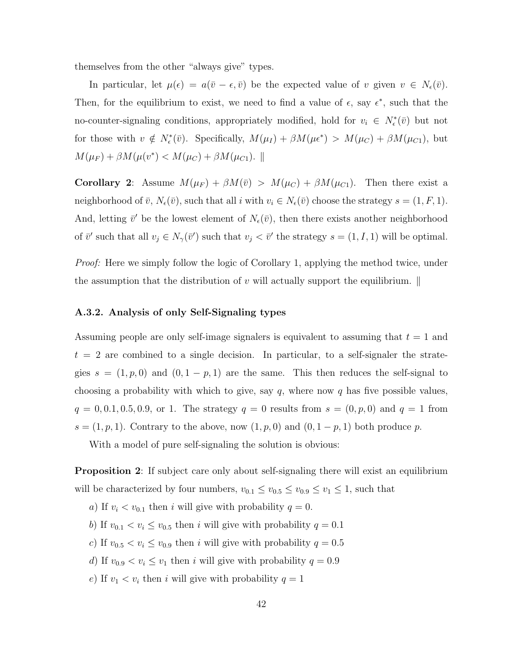themselves from the other "always give" types.

In particular, let  $\mu(\epsilon) = a(\bar{v} - \epsilon, \bar{v})$  be the expected value of v given  $v \in N_{\epsilon}(\bar{v})$ . Then, for the equilibrium to exist, we need to find a value of  $\epsilon$ , say  $\epsilon^*$ , such that the no-counter-signaling conditions, appropriately modified, hold for  $v_i \in N_{\epsilon}^*(\bar{v})$  but not for those with  $v \notin N_{\epsilon}^*(\bar{v})$ . Specifically,  $M(\mu_I) + \beta M(\mu_{\epsilon}^*) > M(\mu_C) + \beta M(\mu_{C1})$ , but  $M(\mu_F) + \beta M(\mu(v^*) < M(\mu_C) + \beta M(\mu_{C1}).$ 

Corollary 2: Assume  $M(\mu_F) + \beta M(\bar{v}) > M(\mu_C) + \beta M(\mu_{C1})$ . Then there exist a neighborhood of  $\bar{v}$ ,  $N_{\epsilon}(\bar{v})$ , such that all i with  $v_i \in N_{\epsilon}(\bar{v})$  choose the strategy  $s = (1, F, 1)$ . And, letting  $\bar{v}'$  be the lowest element of  $N_{\epsilon}(\bar{v})$ , then there exists another neighborhood of  $\bar{v}'$  such that all  $v_j \in N_{\gamma}(\bar{v}')$  such that  $v_j < \bar{v}'$  the strategy  $s = (1, I, 1)$  will be optimal.

Proof: Here we simply follow the logic of Corollary 1, applying the method twice, under the assumption that the distribution of  $v$  will actually support the equilibrium.  $\parallel$ 

#### A.3.2. Analysis of only Self-Signaling types

Assuming people are only self-image signalers is equivalent to assuming that  $t = 1$  and  $t = 2$  are combined to a single decision. In particular, to a self-signaler the strategies  $s = (1, p, 0)$  and  $(0, 1 - p, 1)$  are the same. This then reduces the self-signal to choosing a probability with which to give, say  $q$ , where now  $q$  has five possible values,  $q = 0, 0.1, 0.5, 0.9, \text{ or } 1.$  The strategy  $q = 0$  results from  $s = (0, p, 0)$  and  $q = 1$  from  $s = (1, p, 1)$ . Contrary to the above, now  $(1, p, 0)$  and  $(0, 1 - p, 1)$  both produce p.

With a model of pure self-signaling the solution is obvious:

**Proposition 2:** If subject care only about self-signaling there will exist an equilibrium will be characterized by four numbers,  $v_{0.1} \le v_{0.5} \le v_{0.9} \le v_1 \le 1$ , such that

- a) If  $v_i < v_{0,1}$  then i will give with probability  $q = 0$ .
- b) If  $v_{0.1} < v_i \le v_{0.5}$  then i will give with probability  $q = 0.1$
- c) If  $v_{0.5} < v_i \le v_{0.9}$  then i will give with probability  $q = 0.5$
- d) If  $v_{0.9} < v_i \le v_1$  then i will give with probability  $q = 0.9$
- e) If  $v_1 < v_i$  then i will give with probability  $q = 1$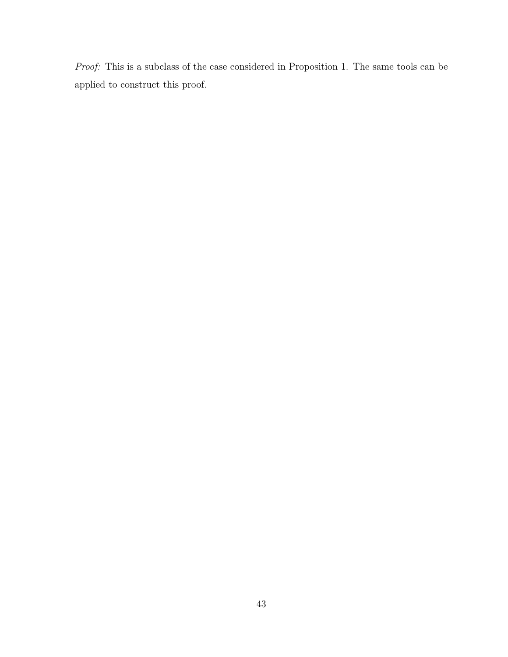Proof: This is a subclass of the case considered in Proposition 1. The same tools can be applied to construct this proof.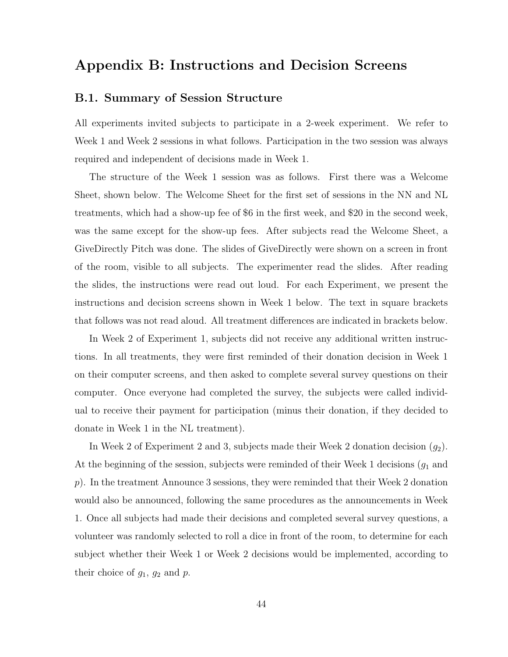## Appendix B: Instructions and Decision Screens

### B.1. Summary of Session Structure

All experiments invited subjects to participate in a 2-week experiment. We refer to Week 1 and Week 2 sessions in what follows. Participation in the two session was always required and independent of decisions made in Week 1.

The structure of the Week 1 session was as follows. First there was a Welcome Sheet, shown below. The Welcome Sheet for the first set of sessions in the NN and NL treatments, which had a show-up fee of \$6 in the first week, and \$20 in the second week, was the same except for the show-up fees. After subjects read the Welcome Sheet, a GiveDirectly Pitch was done. The slides of GiveDirectly were shown on a screen in front of the room, visible to all subjects. The experimenter read the slides. After reading the slides, the instructions were read out loud. For each Experiment, we present the instructions and decision screens shown in Week 1 below. The text in square brackets that follows was not read aloud. All treatment differences are indicated in brackets below.

In Week 2 of Experiment 1, subjects did not receive any additional written instructions. In all treatments, they were first reminded of their donation decision in Week 1 on their computer screens, and then asked to complete several survey questions on their computer. Once everyone had completed the survey, the subjects were called individual to receive their payment for participation (minus their donation, if they decided to donate in Week 1 in the NL treatment).

In Week 2 of Experiment 2 and 3, subjects made their Week 2 donation decision  $(g_2)$ . At the beginning of the session, subjects were reminded of their Week 1 decisions  $(g_1$  and p). In the treatment Announce 3 sessions, they were reminded that their Week 2 donation would also be announced, following the same procedures as the announcements in Week 1. Once all subjects had made their decisions and completed several survey questions, a volunteer was randomly selected to roll a dice in front of the room, to determine for each subject whether their Week 1 or Week 2 decisions would be implemented, according to their choice of  $g_1$ ,  $g_2$  and  $p$ .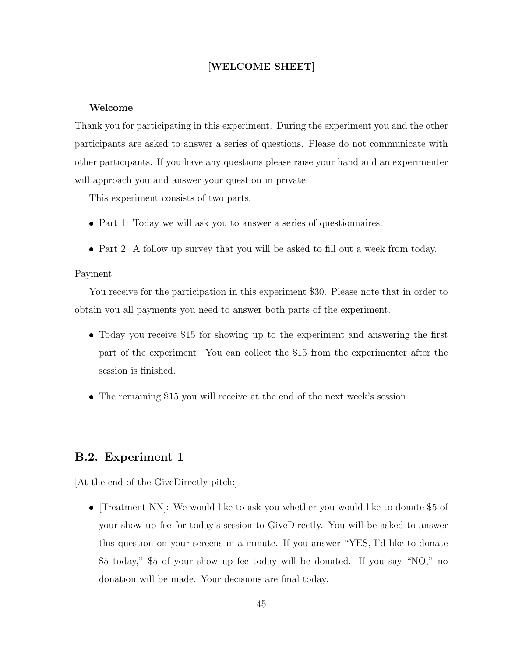### [WELCOME SHEET]

#### Welcome

Thank you for participating in this experiment. During the experiment you and the other participants are asked to answer a series of questions. Please do not communicate with other participants. If you have any questions please raise your hand and an experimenter will approach you and answer your question in private.

This experiment consists of two parts.

- Part 1: Today we will ask you to answer a series of questionnaires.
- Part 2: A follow up survey that you will be asked to fill out a week from today.

#### Payment

You receive for the participation in this experiment \$30. Please note that in order to obtain you all payments you need to answer both parts of the experiment.

- Today you receive \$15 for showing up to the experiment and answering the first part of the experiment. You can collect the \$15 from the experimenter after the session is finished.
- The remaining \$15 you will receive at the end of the next week's session.

## B.2. Experiment 1

[At the end of the GiveDirectly pitch:]

 $\bullet$  [Treatment NN]: We would like to ask you whether you would like to donate \$5 of your show up fee for today's session to GiveDirectly. You will be asked to answer this question on your screens in a minute. If you answer "YES, I'd like to donate \$5 today," \$5 of your show up fee today will be donated. If you say "NO," no donation will be made. Your decisions are final today.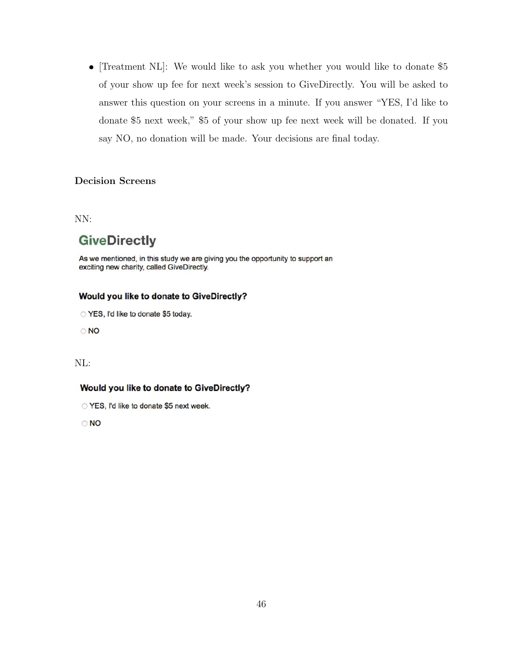• [Treatment NL]: We would like to ask you whether you would like to donate  $$5$ of your show up fee for next week's session to GiveDirectly. You will be asked to answer this question on your screens in a minute. If you answer "YES, I'd like to donate \$5 next week," \$5 of your show up fee next week will be donated. If you say NO, no donation will be made. Your decisions are final today.

#### Decision Screens

NN:

## **GiveDirectly**

As we mentioned, in this study we are giving you the opportunity to support an exciting new charity, called GiveDirectly.

#### Would you like to donate to GiveDirectly?

○ YES, I'd like to donate \$5 today.

 $\circ$  NO

## NL:

#### Would you like to donate to GiveDirectly?

YES, I'd like to donate \$5 next week.

 $\circ$  NO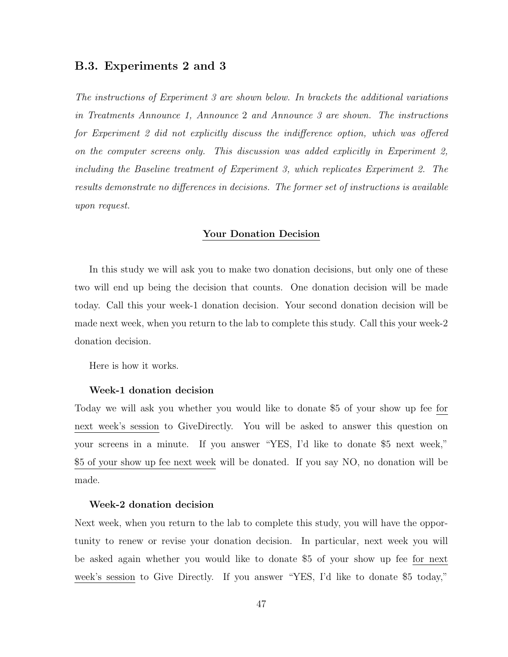### B.3. Experiments 2 and 3

The instructions of Experiment 3 are shown below. In brackets the additional variations in Treatments Announce 1, Announce 2 and Announce 3 are shown. The instructions for Experiment 2 did not explicitly discuss the indifference option, which was offered on the computer screens only. This discussion was added explicitly in Experiment 2, including the Baseline treatment of Experiment 3, which replicates Experiment 2. The results demonstrate no differences in decisions. The former set of instructions is available upon request.

#### Your Donation Decision

In this study we will ask you to make two donation decisions, but only one of these two will end up being the decision that counts. One donation decision will be made today. Call this your week-1 donation decision. Your second donation decision will be made next week, when you return to the lab to complete this study. Call this your week-2 donation decision.

Here is how it works.

#### Week-1 donation decision

Today we will ask you whether you would like to donate \$5 of your show up fee for next week's session to GiveDirectly. You will be asked to answer this question on your screens in a minute. If you answer "YES, I'd like to donate \$5 next week," \$5 of your show up fee next week will be donated. If you say NO, no donation will be made.

#### Week-2 donation decision

Next week, when you return to the lab to complete this study, you will have the opportunity to renew or revise your donation decision. In particular, next week you will be asked again whether you would like to donate \$5 of your show up fee for next week's session to Give Directly. If you answer "YES, I'd like to donate \$5 today,"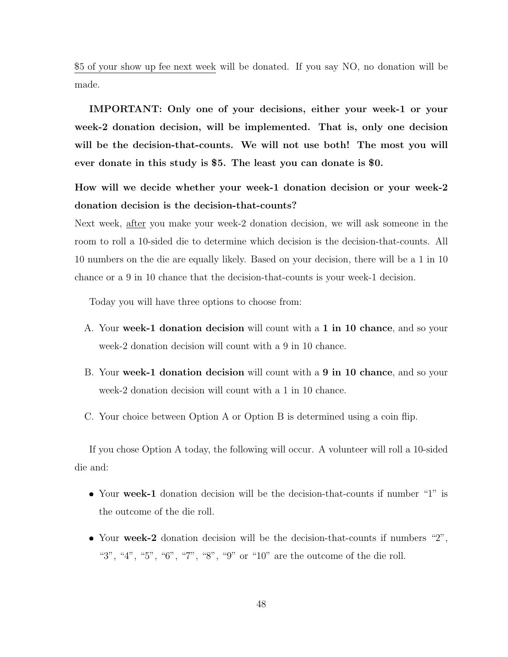\$5 of your show up fee next week will be donated. If you say NO, no donation will be made.

IMPORTANT: Only one of your decisions, either your week-1 or your week-2 donation decision, will be implemented. That is, only one decision will be the decision-that-counts. We will not use both! The most you will ever donate in this study is \$5. The least you can donate is \$0.

How will we decide whether your week-1 donation decision or your week-2 donation decision is the decision-that-counts?

Next week, after you make your week-2 donation decision, we will ask someone in the room to roll a 10-sided die to determine which decision is the decision-that-counts. All 10 numbers on the die are equally likely. Based on your decision, there will be a 1 in 10 chance or a 9 in 10 chance that the decision-that-counts is your week-1 decision.

Today you will have three options to choose from:

- A. Your week-1 donation decision will count with a 1 in 10 chance, and so your week-2 donation decision will count with a 9 in 10 chance.
- B. Your week-1 donation decision will count with a 9 in 10 chance, and so your week-2 donation decision will count with a 1 in 10 chance.
- C. Your choice between Option A or Option B is determined using a coin flip.

If you chose Option A today, the following will occur. A volunteer will roll a 10-sided die and:

- Your week-1 donation decision will be the decision-that-counts if number "1" is the outcome of the die roll.
- Your week-2 donation decision will be the decision-that-counts if numbers "2", "3", "4", "5", "6", "7", "8", "9" or "10" are the outcome of the die roll.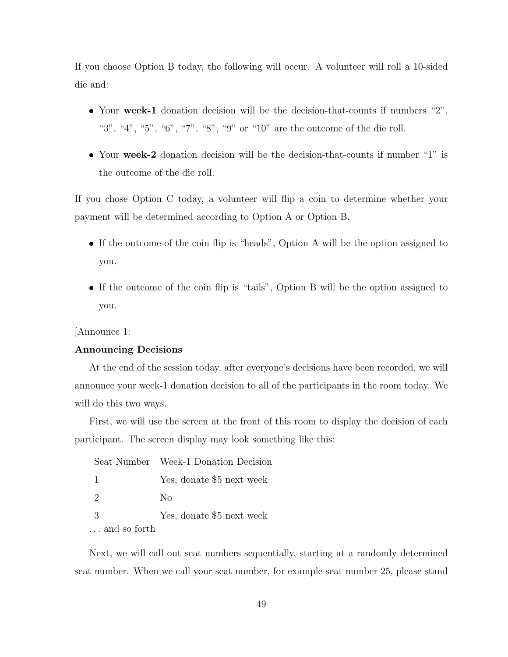If you choose Option B today, the following will occur. A volunteer will roll a 10-sided die and:

- Your week-1 donation decision will be the decision-that-counts if numbers "2", "3", "4", "5", "6", "7", "8", "9" or "10" are the outcome of the die roll.
- Your week-2 donation decision will be the decision-that-counts if number "1" is the outcome of the die roll.

If you chose Option C today, a volunteer will flip a coin to determine whether your payment will be determined according to Option A or Option B.

- If the outcome of the coin flip is "heads", Option A will be the option assigned to you.
- If the outcome of the coin flip is "tails", Option B will be the option assigned to you.

[Announce 1:

#### Announcing Decisions

At the end of the session today, after everyone's decisions have been recorded, we will announce your week-1 donation decision to all of the participants in the room today. We will do this two ways.

First, we will use the screen at the front of this room to display the decision of each participant. The screen display may look something like this:

|               | Seat Number Week-1 Donation Decision |
|---------------|--------------------------------------|
| - 1           | Yes, donate \$5 next week            |
| $\mathcal{D}$ | Nο                                   |
| -3            | Yes, donate \$5 next week            |
| and so forth  |                                      |

Next, we will call out seat numbers sequentially, starting at a randomly determined seat number. When we call your seat number, for example seat number 25, please stand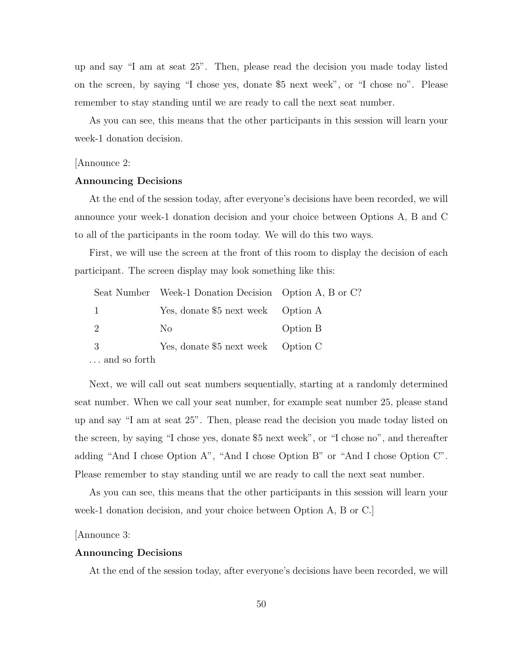up and say "I am at seat 25". Then, please read the decision you made today listed on the screen, by saying "I chose yes, donate \$5 next week", or "I chose no". Please remember to stay standing until we are ready to call the next seat number.

As you can see, this means that the other participants in this session will learn your week-1 donation decision.

#### [Announce 2:

#### Announcing Decisions

At the end of the session today, after everyone's decisions have been recorded, we will announce your week-1 donation decision and your choice between Options A, B and C to all of the participants in the room today. We will do this two ways.

First, we will use the screen at the front of this room to display the decision of each participant. The screen display may look something like this:

|              | Seat Number Week-1 Donation Decision Option A, B or C? |          |
|--------------|--------------------------------------------------------|----------|
| 1            | Yes, donate \$5 next week Option A                     |          |
| 2            | No.                                                    | Option B |
| -3           | Yes, donate \$5 next week Option C                     |          |
| and so forth |                                                        |          |

Next, we will call out seat numbers sequentially, starting at a randomly determined seat number. When we call your seat number, for example seat number 25, please stand up and say "I am at seat 25". Then, please read the decision you made today listed on the screen, by saying "I chose yes, donate \$5 next week", or "I chose no", and thereafter adding "And I chose Option A", "And I chose Option B" or "And I chose Option C". Please remember to stay standing until we are ready to call the next seat number.

As you can see, this means that the other participants in this session will learn your week-1 donation decision, and your choice between Option A, B or C.]

[Announce 3:

#### Announcing Decisions

At the end of the session today, after everyone's decisions have been recorded, we will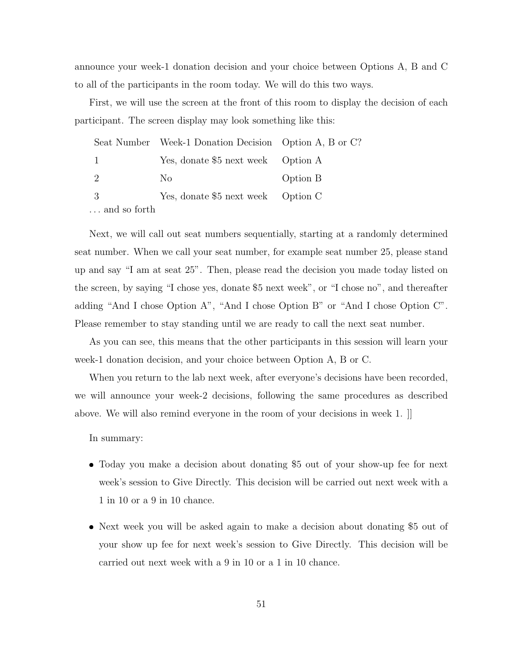announce your week-1 donation decision and your choice between Options A, B and C to all of the participants in the room today. We will do this two ways.

First, we will use the screen at the front of this room to display the decision of each participant. The screen display may look something like this:

|              | Seat Number Week-1 Donation Decision Option A, B or C? |          |
|--------------|--------------------------------------------------------|----------|
|              | Yes, donate \$5 next week Option A                     |          |
| $\mathbf{2}$ | No                                                     | Option B |
| -3           | Yes, donate \$5 next week Option C                     |          |
| and so forth |                                                        |          |

Next, we will call out seat numbers sequentially, starting at a randomly determined seat number. When we call your seat number, for example seat number 25, please stand up and say "I am at seat 25". Then, please read the decision you made today listed on the screen, by saying "I chose yes, donate \$5 next week", or "I chose no", and thereafter adding "And I chose Option A", "And I chose Option B" or "And I chose Option C". Please remember to stay standing until we are ready to call the next seat number.

As you can see, this means that the other participants in this session will learn your week-1 donation decision, and your choice between Option A, B or C.

When you return to the lab next week, after everyone's decisions have been recorded, we will announce your week-2 decisions, following the same procedures as described above. We will also remind everyone in the room of your decisions in week 1.  $\parallel$ 

In summary:

- Today you make a decision about donating \$5 out of your show-up fee for next week's session to Give Directly. This decision will be carried out next week with a 1 in 10 or a 9 in 10 chance.
- Next week you will be asked again to make a decision about donating \$5 out of your show up fee for next week's session to Give Directly. This decision will be carried out next week with a 9 in 10 or a 1 in 10 chance.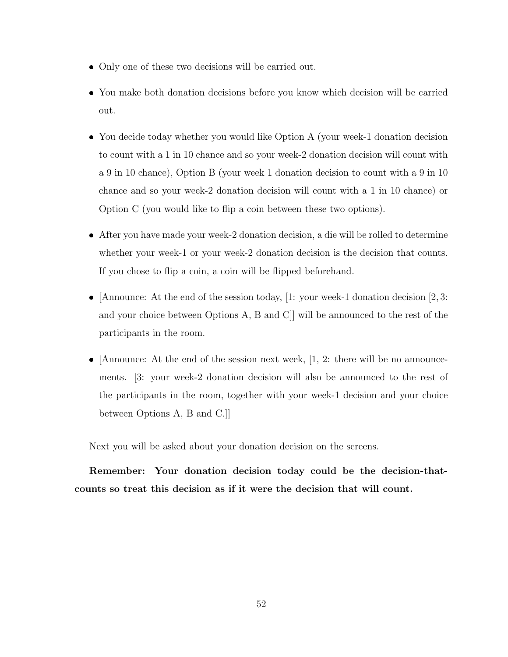- Only one of these two decisions will be carried out.
- You make both donation decisions before you know which decision will be carried out.
- You decide today whether you would like Option A (your week-1 donation decision to count with a 1 in 10 chance and so your week-2 donation decision will count with a 9 in 10 chance), Option B (your week 1 donation decision to count with a 9 in 10 chance and so your week-2 donation decision will count with a 1 in 10 chance) or Option C (you would like to flip a coin between these two options).
- After you have made your week-2 donation decision, a die will be rolled to determine whether your week-1 or your week-2 donation decision is the decision that counts. If you chose to flip a coin, a coin will be flipped beforehand.
- [Announce: At the end of the session today, [1: your week-1 donation decision [2, 3: and your choice between Options A, B and C]] will be announced to the rest of the participants in the room.
- [Announce: At the end of the session next week,  $[1, 2:$  there will be no announcements. [3: your week-2 donation decision will also be announced to the rest of the participants in the room, together with your week-1 decision and your choice between Options A, B and C.]]

Next you will be asked about your donation decision on the screens.

Remember: Your donation decision today could be the decision-thatcounts so treat this decision as if it were the decision that will count.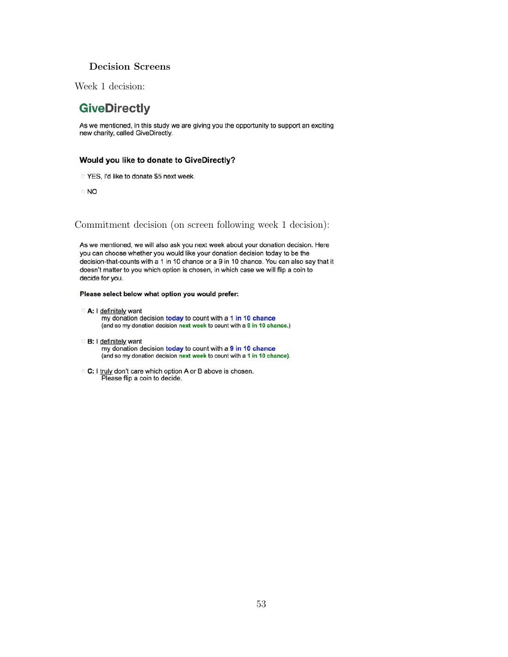#### Decision Screens

Week 1 decision:

## **GiveDirectly**

As we mentioned, in this study we are giving you the opportunity to support an exciting new charity, called GiveDirectly.

#### Would you like to donate to GiveDirectly?

- YES, I'd like to donate \$5 next week.
- $\circ$  NO

Commitment decision (on screen following week 1 decision):

As we mentioned, we will also ask you next week about your donation decision. Here you can choose whether you would like your donation decision today to be the decision-that-counts with a 1 in 10 chance or a 9 in 10 chance. You can also say that it doesn't matter to you which option is chosen, in which case we will flip a coin to decide for you.

#### Please select below what option you would prefer:

- A: I definitely want my donation decision today to count with a 1 in 10 chance (and so my donation decision next week to count with a 9 in 10 chance.)
- B: I definitely want my donation decision today to count with a 9 in 10 chance (and so my donation decision next week to count with a 1 in 10 chance).
- C: I truly don't care which option A or B above is chosen. Please flip a coin to decide.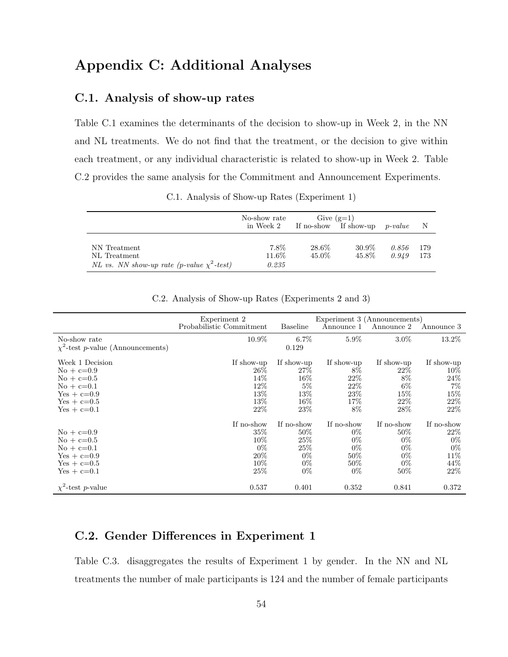# Appendix C: Additional Analyses

## C.1. Analysis of show-up rates

Table C.1 examines the determinants of the decision to show-up in Week 2, in the NN and NL treatments. We do not find that the treatment, or the decision to give within each treatment, or any individual characteristic is related to show-up in Week 2. Table C.2 provides the same analysis for the Commitment and Announcement Experiments.

|                                                                                 | No-show rate<br>in Week 2 | Give $(g=1)$   | If no-show If show-up | $p-value$      | - N         |
|---------------------------------------------------------------------------------|---------------------------|----------------|-----------------------|----------------|-------------|
| NN Treatment<br>NL Treatment<br>NL vs. NN show-up rate (p-value $\chi^2$ -test) | 7.8%<br>11.6%<br>0.235    | 28.6%<br>45.0% | 30.9%<br>45.8%        | 0.856<br>0.949 | 179<br>-173 |

C.1. Analysis of Show-up Rates (Experiment 1)

|                                        | Experiment 2             |                 | Experiment 3 (Announcements) |            |            |
|----------------------------------------|--------------------------|-----------------|------------------------------|------------|------------|
|                                        | Probabilistic Commitment | <b>Baseline</b> | Announce 1                   | Announce 2 | Announce 3 |
| No-show rate                           | 10.9%                    | $6.7\%$         | $5.9\%$                      | $3.0\%$    | 13.2%      |
| $\chi^2$ -test p-value (Announcements) |                          | 0.129           |                              |            |            |
| Week 1 Decision                        | If show-up               | If show-up      | If show-up                   | If show-up | If show-up |
| $No + c=0.9$                           | $26\%$                   | $27\%$          | 8%                           | $22\%$     | $10\%$     |
| $\mathrm{No} + \mathrm{c} = 0.5$       | 14\%                     | $16\%$          | 22%                          | 8%         | 24%        |
| $\mathrm{No} + \mathrm{c} = 0.1$       | 12\%                     | $5\%$           | 22%                          | $6\%$      | $7\%$      |
| $Yes + c=0.9$                          | 13%                      | 13%             | 23\%                         | 15\%       | 15\%       |
| $Yes + c=0.5$                          | 13%                      | $16\%$          | 17%                          | $22\%$     | 22%        |
| $Yes + c=0.1$                          | 22%                      | 23\%            | 8%                           | 28\%       | 22%        |
|                                        | If no-show               | If no-show      | If no-show                   | If no-show | If no-show |
| $\mathrm{No} + \mathrm{c} = 0.9$       | $35\%$                   | $50\%$          | $0\%$                        | $50\%$     | $22\%$     |
| $No + c=0.5$                           | 10%                      | 25\%            | $0\%$                        | $0\%$      | $0\%$      |
| $\mathrm{No} + \mathrm{c} = 0.1$       | $0\%$                    | 25\%            | $0\%$                        | $0\%$      | $0\%$      |
| $Yes + c=0.9$                          | 20%                      | $0\%$           | 50%                          | $0\%$      | 11\%       |
| $Yes + c=0.5$                          | 10%                      | $0\%$           | $50\%$                       | $0\%$      | 44\%       |
| $Yes + c=0.1$                          | 25%                      | $0\%$           | $0\%$                        | $50\%$     | 22%        |
| $\chi^2$ -test p-value                 | 0.537                    | 0.401           | 0.352                        | 0.841      | 0.372      |

C.2. Analysis of Show-up Rates (Experiments 2 and 3)

## C.2. Gender Differences in Experiment 1

Table C.3. disaggregates the results of Experiment 1 by gender. In the NN and NL treatments the number of male participants is 124 and the number of female participants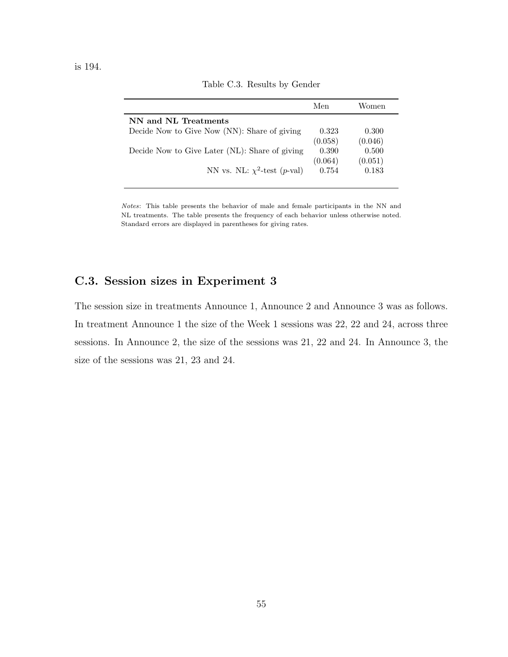|                                                | Men              | Women            |
|------------------------------------------------|------------------|------------------|
| NN and NL Treatments                           |                  |                  |
| Decide Now to Give Now (NN): Share of giving   | 0.323<br>(0.058) | 0.300<br>(0.046) |
| Decide Now to Give Later (NL): Share of giving | 0.390<br>(0.064) | 0.500<br>(0.051) |
| NN vs. NL: $\chi^2$ -test (p-val)              | 0.754            | 0.183            |

Table C.3. Results by Gender

Notes: This table presents the behavior of male and female participants in the NN and NL treatments. The table presents the frequency of each behavior unless otherwise noted. Standard errors are displayed in parentheses for giving rates.

## C.3. Session sizes in Experiment 3

The session size in treatments Announce 1, Announce 2 and Announce 3 was as follows. In treatment Announce 1 the size of the Week 1 sessions was 22, 22 and 24, across three sessions. In Announce 2, the size of the sessions was 21, 22 and 24. In Announce 3, the size of the sessions was 21, 23 and 24.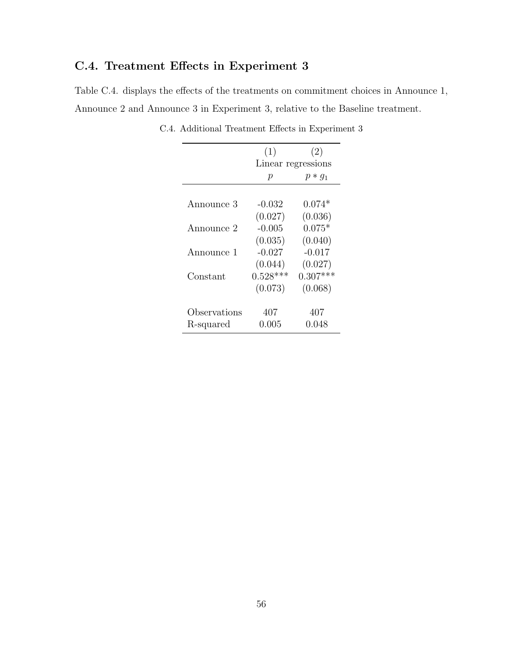# C.4. Treatment Effects in Experiment 3

Table C.4. displays the effects of the treatments on commitment choices in Announce 1, Announce 2 and Announce 3 in Experiment 3, relative to the Baseline treatment.

|              | (1)        | (2)                |
|--------------|------------|--------------------|
|              |            | Linear regressions |
|              | р          | $p * q_1$          |
|              |            |                    |
| Announce 3   | -0.032     | $0.074*$           |
|              | (0.027)    | (0.036)            |
| Announce 2   | $-0.005$   | $0.075*$           |
|              | (0.035)    | (0.040)            |
| Announce 1   | $-0.027$   | $-0.017$           |
|              | (0.044)    | (0.027)            |
| Constant     | $0.528***$ | $0.307***$         |
|              | (0.073)    | (0.068)            |
| Observations |            | 407                |
|              | 407        |                    |
| R-squared    | 0.005      | 0.048              |

C.4. Additional Treatment Effects in Experiment 3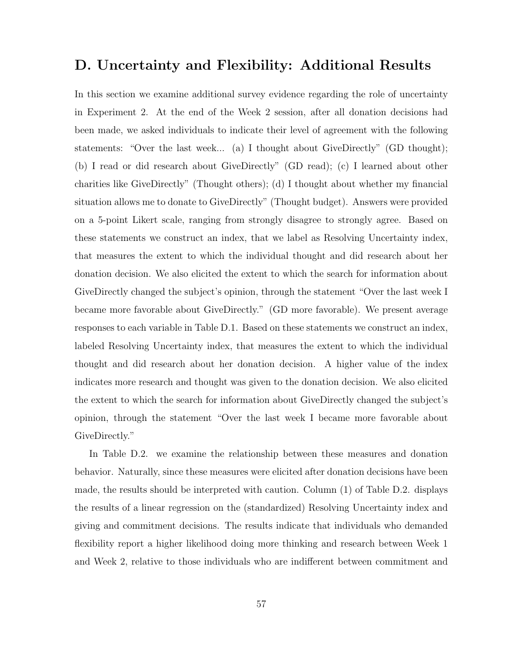## D. Uncertainty and Flexibility: Additional Results

In this section we examine additional survey evidence regarding the role of uncertainty in Experiment 2. At the end of the Week 2 session, after all donation decisions had been made, we asked individuals to indicate their level of agreement with the following statements: "Over the last week... (a) I thought about GiveDirectly" (GD thought); (b) I read or did research about GiveDirectly" (GD read); (c) I learned about other charities like GiveDirectly" (Thought others); (d) I thought about whether my financial situation allows me to donate to GiveDirectly" (Thought budget). Answers were provided on a 5-point Likert scale, ranging from strongly disagree to strongly agree. Based on these statements we construct an index, that we label as Resolving Uncertainty index, that measures the extent to which the individual thought and did research about her donation decision. We also elicited the extent to which the search for information about GiveDirectly changed the subject's opinion, through the statement "Over the last week I became more favorable about GiveDirectly." (GD more favorable). We present average responses to each variable in Table D.1. Based on these statements we construct an index, labeled Resolving Uncertainty index, that measures the extent to which the individual thought and did research about her donation decision. A higher value of the index indicates more research and thought was given to the donation decision. We also elicited the extent to which the search for information about GiveDirectly changed the subject's opinion, through the statement "Over the last week I became more favorable about GiveDirectly."

In Table D.2. we examine the relationship between these measures and donation behavior. Naturally, since these measures were elicited after donation decisions have been made, the results should be interpreted with caution. Column (1) of Table D.2. displays the results of a linear regression on the (standardized) Resolving Uncertainty index and giving and commitment decisions. The results indicate that individuals who demanded flexibility report a higher likelihood doing more thinking and research between Week 1 and Week 2, relative to those individuals who are indifferent between commitment and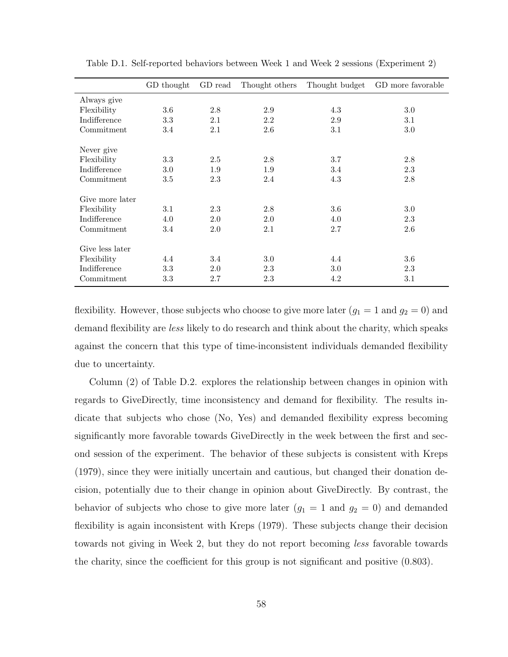|                 | GD thought | GD read | Thought others | Thought budget | GD more favorable |
|-----------------|------------|---------|----------------|----------------|-------------------|
| Always give     |            |         |                |                |                   |
| Flexibility     | 3.6        | 2.8     | 2.9            | 4.3            | 3.0               |
| Indifference    | 3.3        | 2.1     | 2.2            | 2.9            | 3.1               |
| Commitment      | 3.4        | 2.1     | 2.6            | 3.1            | $3.0\,$           |
| Never give      |            |         |                |                |                   |
| Flexibility     | 3.3        | 2.5     | 2.8            | 3.7            | 2.8               |
| Indifference    | $3.0\,$    | 1.9     | 1.9            | 3.4            | 2.3               |
| Commitment      | 3.5        | 2.3     | 2.4            | 4.3            | 2.8               |
| Give more later |            |         |                |                |                   |
| Flexibility     | $3.1\,$    | 2.3     | 2.8            | 3.6            | $3.0\,$           |
| Indifference    | 4.0        | 2.0     | 2.0            | 4.0            | 2.3               |
| Commitment      | 3.4        | 2.0     | 2.1            | 2.7            | 2.6               |
| Give less later |            |         |                |                |                   |
| Flexibility     | 4.4        | 3.4     | 3.0            | 4.4            | 3.6               |
| Indifference    | 3.3        | 2.0     | 2.3            | 3.0            | 2.3               |
| Commitment      | 3.3        | 2.7     | 2.3            | 4.2            | 3.1               |

Table D.1. Self-reported behaviors between Week 1 and Week 2 sessions (Experiment 2)

flexibility. However, those subjects who choose to give more later  $(g_1 = 1 \text{ and } g_2 = 0)$  and demand flexibility are *less* likely to do research and think about the charity, which speaks against the concern that this type of time-inconsistent individuals demanded flexibility due to uncertainty.

Column (2) of Table D.2. explores the relationship between changes in opinion with regards to GiveDirectly, time inconsistency and demand for flexibility. The results indicate that subjects who chose (No, Yes) and demanded flexibility express becoming significantly more favorable towards GiveDirectly in the week between the first and second session of the experiment. The behavior of these subjects is consistent with Kreps (1979), since they were initially uncertain and cautious, but changed their donation decision, potentially due to their change in opinion about GiveDirectly. By contrast, the behavior of subjects who chose to give more later  $(g_1 = 1 \text{ and } g_2 = 0)$  and demanded flexibility is again inconsistent with Kreps (1979). These subjects change their decision towards not giving in Week 2, but they do not report becoming less favorable towards the charity, since the coefficient for this group is not significant and positive (0.803).